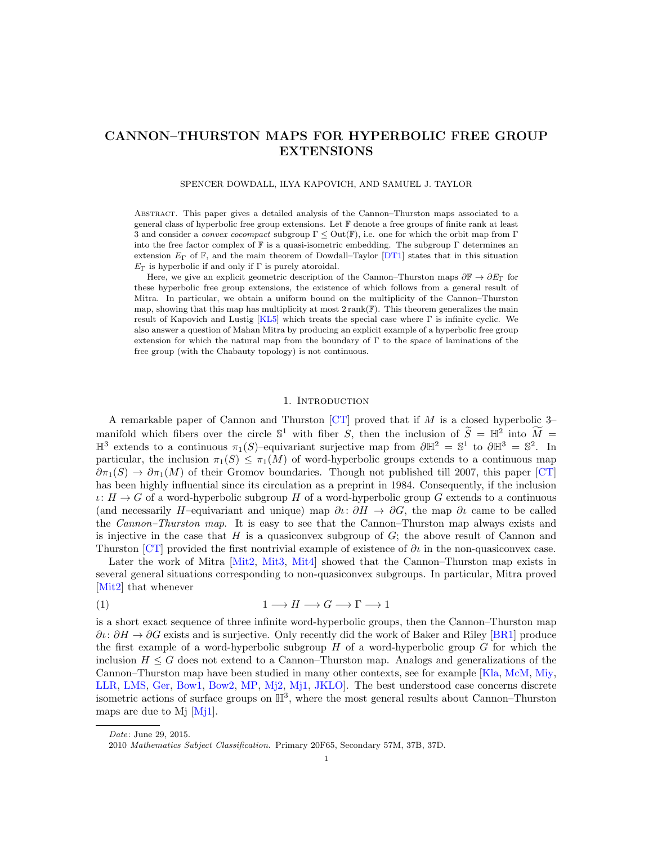# CANNON–THURSTON MAPS FOR HYPERBOLIC FREE GROUP EXTENSIONS

#### SPENCER DOWDALL, ILYA KAPOVICH, AND SAMUEL J. TAYLOR

Abstract. This paper gives a detailed analysis of the Cannon–Thurston maps associated to a general class of hyperbolic free group extensions. Let F denote a free groups of finite rank at least 3 and consider a *convex cocompact* subgroup  $\Gamma \leq Out(\mathbb{F})$ , i.e. one for which the orbit map from  $\Gamma$ into the free factor complex of  $\mathbb F$  is a quasi-isometric embedding. The subgroup  $\Gamma$  determines an extension  $E_{\Gamma}$  of  $\mathbb{F}$ , and the main theorem of Dowdall–Taylor [\[DT1\]](#page-24-0) states that in this situation  $E_{\Gamma}$  is hyperbolic if and only if  $\Gamma$  is purely atoroidal.

Here, we give an explicit geometric description of the Cannon–Thurston maps  $\partial \mathbb{F} \to \partial E_{\Gamma}$  for these hyperbolic free group extensions, the existence of which follows from a general result of Mitra. In particular, we obtain a uniform bound on the multiplicity of the Cannon–Thurston map, showing that this map has multiplicity at most  $2 \text{ rank}(\mathbb{F})$ . This theorem generalizes the main result of Kapovich and Lustig  $[KL5]$  which treats the special case where Γ is infinite cyclic. We also answer a question of Mahan Mitra by producing an explicit example of a hyperbolic free group extension for which the natural map from the boundary of  $\Gamma$  to the space of laminations of the free group (with the Chabauty topology) is not continuous.

#### 1. Introduction

A remarkable paper of Cannon and Thurston  $\lbrack CT\rbrack$  proved that if M is a closed hyperbolic 3– manifold which fibers over the circle  $\mathbb{S}^1$  with fiber S, then the inclusion of  $\widetilde{S} = \mathbb{H}^2$  into  $\widetilde{M} = \mathbb{S}^2$  $\mathbb{H}^3$  extends to a continuous  $\pi_1(S)$ -equivariant surjective map from  $\partial \mathbb{H}^2 = \mathbb{S}^1$  to  $\partial \mathbb{H}^3 = \mathbb{S}^2$ . In particular, the inclusion  $\pi_1(S) \leq \pi_1(M)$  of word-hyperbolic groups extends to a continuous map  $\partial \pi_1(S) \to \partial \pi_1(M)$  of their Gromov boundaries. Though not published till 2007, this paper [\[CT\]](#page-24-1) has been highly influential since its circulation as a preprint in 1984. Consequently, if the inclusion  $\iota: H \to G$  of a word-hyperbolic subgroup H of a word-hyperbolic group G extends to a continuous (and necessarily H–equivariant and unique) map  $\partial \iota : \partial H \to \partial G$ , the map  $\partial \iota$  came to be called the Cannon–Thurston map. It is easy to see that the Cannon–Thurston map always exists and is injective in the case that  $H$  is a quasiconvex subgroup of  $G$ ; the above result of Cannon and Thurston [\[CT\]](#page-24-1) provided the first nontrivial example of existence of  $\partial\iota$  in the non-quasiconvex case.

Later the work of Mitra [\[Mit2,](#page-25-1) [Mit3,](#page-25-2) [Mit4\]](#page-25-3) showed that the Cannon–Thurston map exists in several general situations corresponding to non-quasiconvex subgroups. In particular, Mitra proved [\[Mit2\]](#page-25-1) that whenever

<span id="page-0-0"></span>
$$
(1) \t 1 \longrightarrow H \longrightarrow G \longrightarrow \Gamma \longrightarrow 1
$$

is a short exact sequence of three infinite word-hyperbolic groups, then the Cannon–Thurston map  $\partial\iota\colon\partial H\to\partial G$  exists and is surjective. Only recently did the work of Baker and Riley [\[BR1\]](#page-24-2) produce the first example of a word-hyperbolic subgroup  $H$  of a word-hyperbolic group  $G$  for which the inclusion  $H \leq G$  does not extend to a Cannon–Thurston map. Analogs and generalizations of the Cannon–Thurston map have been studied in many other contexts, see for example [\[Kla,](#page-25-4) [McM,](#page-25-5) [Miy,](#page-25-6) [LLR,](#page-25-7) [LMS,](#page-25-8) [Ger,](#page-24-3) [Bow1,](#page-24-4) [Bow2,](#page-24-5) [MP,](#page-25-9) [Mj2,](#page-25-10) [Mj1,](#page-25-11) [JKLO\]](#page-24-6). The best understood case concerns discrete isometric actions of surface groups on  $\mathbb{H}^3$ , where the most general results about Cannon–Thurston maps are due to M<sub>i</sub>  $\text{M}$ <sub>i</sub> 1.

Date: June 29, 2015.

<sup>2010</sup> Mathematics Subject Classification. Primary 20F65, Secondary 57M, 37B, 37D.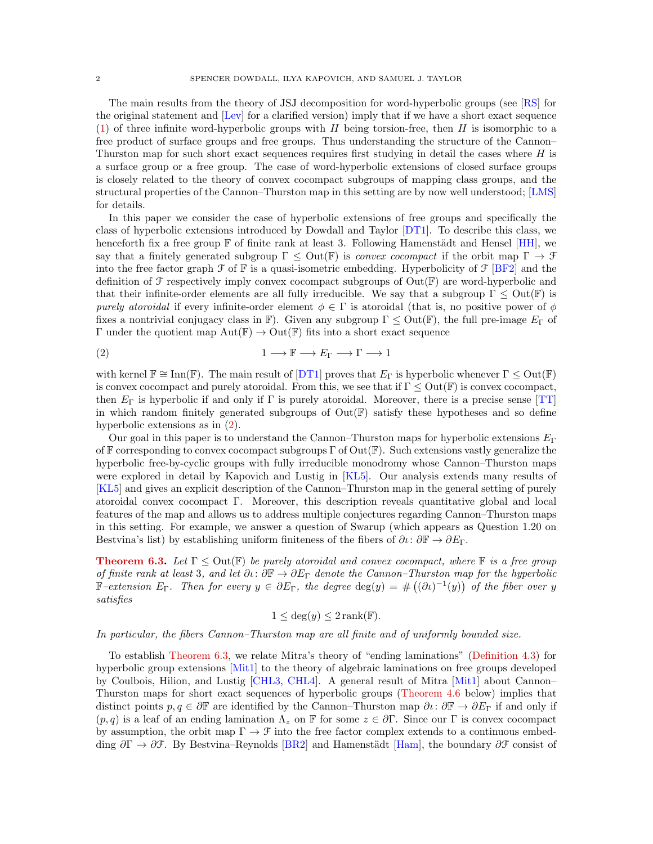The main results from the theory of JSJ decomposition for word-hyperbolic groups (see [\[RS\]](#page-25-12) for the original statement and [\[Lev\]](#page-25-13) for a clarified version) imply that if we have a short exact sequence [\(1\)](#page-0-0) of three infinite word-hyperbolic groups with  $H$  being torsion-free, then  $H$  is isomorphic to a free product of surface groups and free groups. Thus understanding the structure of the Cannon– Thurston map for such short exact sequences requires first studying in detail the cases where  $H$  is a surface group or a free group. The case of word-hyperbolic extensions of closed surface groups is closely related to the theory of convex cocompact subgroups of mapping class groups, and the structural properties of the Cannon–Thurston map in this setting are by now well understood; [\[LMS\]](#page-25-8) for details.

In this paper we consider the case of hyperbolic extensions of free groups and specifically the class of hyperbolic extensions introduced by Dowdall and Taylor [\[DT1\]](#page-24-0). To describe this class, we henceforth fix a free group  $\mathbb F$  of finite rank at least 3. Following Hamenstädt and Hensel [\[HH\]](#page-24-7), we say that a finitely generated subgroup  $\Gamma \leq \text{Out}(\mathbb{F})$  is *convex cocompact* if the orbit map  $\Gamma \to \mathcal{F}$ into the free factor graph  $\mathcal F$  of  $\mathbb F$  is a quasi-isometric embedding. Hyperbolicity of  $\mathcal F$  [\[BF2\]](#page-24-8) and the definition of  $\mathcal F$  respectively imply convex cocompact subgroups of  $Out(\mathbb F)$  are word-hyperbolic and that their infinite-order elements are all fully irreducible. We say that a subgroup  $\Gamma \leq Out(\mathbb{F})$  is purely atoroidal if every infinite-order element  $\phi \in \Gamma$  is atoroidal (that is, no positive power of  $\phi$ fixes a nontrivial conjugacy class in F). Given any subgroup  $\Gamma \leq Out(F)$ , the full pre-image  $E_{\Gamma}$  of  $Γ$  under the quotient map  $Aut(F) \to Out(F)$  fits into a short exact sequence

<span id="page-1-0"></span>(2) 
$$
1 \longrightarrow \mathbb{F} \longrightarrow E_{\Gamma} \longrightarrow \Gamma \longrightarrow 1
$$

with kernel  $\mathbb{F} \cong \text{Inn}(\mathbb{F})$ . The main result of  $DT1$  proves that  $E_{\Gamma}$  is hyperbolic whenever  $\Gamma \leq \text{Out}(\mathbb{F})$ is convex cocompact and purely atoroidal. From this, we see that if  $\Gamma \leq Out(\mathbb{F})$  is convex cocompact, then  $E_{\Gamma}$  is hyperbolic if and only if  $\Gamma$  is purely atoroidal. Moreover, there is a precise sense [\[TT\]](#page-25-14) in which random finitely generated subgroups of  $Out(F)$  satisfy these hypotheses and so define hyperbolic extensions as in [\(2\)](#page-1-0).

Our goal in this paper is to understand the Cannon–Thurston maps for hyperbolic extensions  $E_{\Gamma}$ of F corresponding to convex cocompact subgroups  $\Gamma$  of  $Out(\mathbb{F})$ . Such extensions vastly generalize the hyperbolic free-by-cyclic groups with fully irreducible monodromy whose Cannon–Thurston maps were explored in detail by Kapovich and Lustig in [\[KL5\]](#page-25-0). Our analysis extends many results of [\[KL5\]](#page-25-0) and gives an explicit description of the Cannon–Thurston map in the general setting of purely atoroidal convex cocompact Γ. Moreover, this description reveals quantitative global and local features of the map and allows us to address multiple conjectures regarding Cannon–Thurston maps in this setting. For example, we answer a question of Swarup (which appears as Question 1.20 on Bestvina's list) by establishing uniform finiteness of the fibers of  $\partial \iota : \partial \mathbb{F} \to \partial E_{\Gamma}$ .

**[Theorem 6.3.](#page-18-0)** Let  $\Gamma \leq Out(\mathbb{F})$  be purely atoroidal and convex cocompact, where  $\mathbb{F}$  is a free group of finite rank at least 3, and let  $\partial\iota: \partial\mathbb{F} \to \partial E_\Gamma$  denote the Cannon–Thurston map for the hyperbolic F-extension  $E_{\Gamma}$ . Then for every  $y \in \partial E_{\Gamma}$ , the degree  $\deg(y) = \#((\partial \iota)^{-1}(y))$  of the fiber over y satisfies

$$
1 \le \deg(y) \le 2 \operatorname{rank}(\mathbb{F}).
$$

In particular, the fibers Cannon–Thurston map are all finite and of uniformly bounded size.

To establish [Theorem 6.3,](#page-18-0) we relate Mitra's theory of "ending laminations" [\(Definition 4.3\)](#page-11-0) for hyperbolic group extensions [\[Mit1\]](#page-25-15) to the theory of algebraic laminations on free groups developed by Coulbois, Hilion, and Lustig [\[CHL3,](#page-24-9) [CHL4\]](#page-24-10). A general result of Mitra [\[Mit1\]](#page-25-15) about Cannon– Thurston maps for short exact sequences of hyperbolic groups [\(Theorem 4.6](#page-12-0) below) implies that distinct points  $p, q \in \partial \mathbb{F}$  are identified by the Cannon–Thurston map  $\partial \iota : \partial \mathbb{F} \to \partial E_{\Gamma}$  if and only if  $(p, q)$  is a leaf of an ending lamination  $\Lambda_z$  on F for some  $z \in \partial \Gamma$ . Since our  $\Gamma$  is convex cocompact by assumption, the orbit map  $\Gamma \to \mathcal{F}$  into the free factor complex extends to a continuous embedding  $\partial \Gamma \to \partial \mathcal{F}$ . By Bestvina–Reynolds [\[BR2\]](#page-24-11) and Hamenstädt [\[Ham\]](#page-24-12), the boundary  $\partial \mathcal{F}$  consist of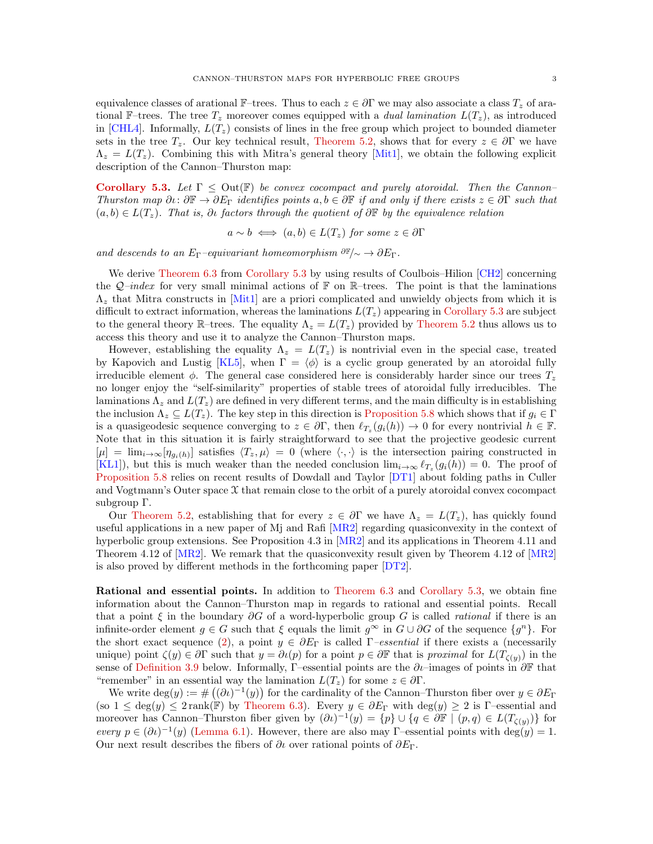equivalence classes of arational F–trees. Thus to each  $z \in \partial \Gamma$  we may also associate a class  $T_z$  of arational F–trees. The tree  $T_z$  moreover comes equipped with a *dual lamination*  $L(T_z)$ , as introduced in [\[CHL4\]](#page-24-10). Informally,  $L(T_z)$  consists of lines in the free group which project to bounded diameter sets in the tree  $T_z$ . Our key technical result, [Theorem 5.2,](#page-13-0) shows that for every  $z \in \partial \Gamma$  we have  $\Lambda_z = L(T_z)$ . Combining this with Mitra's general theory [\[Mit1\]](#page-25-15), we obtain the following explicit description of the Cannon–Thurston map:

[Corollary 5.3.](#page-13-1) Let  $\Gamma \leq$  Out(F) be convex cocompact and purely atoroidal. Then the Cannon-Thurston map  $\partial\iota\colon\partial\mathbb{F}\to\partial E_\Gamma$  identifies points  $a,b\in\partial\mathbb{F}$  if and only if there exists  $z\in\partial\Gamma$  such that  $(a, b) \in L(T_z)$ . That is,  $\partial \iota$  factors through the quotient of  $\partial \mathbb{F}$  by the equivalence relation

$$
a \sim b \iff (a, b) \in L(T_z)
$$
 for some  $z \in \partial \Gamma$ 

and descends to an  $E_{\Gamma}$ –equivariant homeomorphism  $\partial \mathbb{F}/{\sim} \to \partial E_{\Gamma}$ .

We derive [Theorem 6.3](#page-18-0) from [Corollary 5.3](#page-13-1) by using results of Coulbois–Hilion [\[CH2\]](#page-24-13) concerning the  $Q$ -index for very small minimal actions of  $\mathbb F$  on  $\mathbb R$ -trees. The point is that the laminations  $\Lambda_{z}$  that Mitra constructs in [\[Mit1\]](#page-25-15) are a priori complicated and unwieldy objects from which it is difficult to extract information, whereas the laminations  $L(T_z)$  appearing in [Corollary 5.3](#page-13-1) are subject to the general theory R–trees. The equality  $\Lambda_z = L(T_z)$  provided by [Theorem 5.2](#page-13-0) thus allows us to access this theory and use it to analyze the Cannon–Thurston maps.

However, establishing the equality  $\Lambda_z = L(T_z)$  is nontrivial even in the special case, treated by Kapovich and Lustig [\[KL5\]](#page-25-0), when  $\Gamma = \langle \phi \rangle$  is a cyclic group generated by an atoroidal fully irreducible element  $\phi$ . The general case considered here is considerably harder since our trees  $T_z$ no longer enjoy the "self-similarity" properties of stable trees of atoroidal fully irreducibles. The laminations  $\Lambda_z$  and  $L(T_z)$  are defined in very different terms, and the main difficulty is in establishing the inclusion  $\Lambda_z \subseteq L(T_z)$ . The key step in this direction is [Proposition 5.8](#page-15-0) which shows that if  $g_i \in \Gamma$ is a quasigeodesic sequence converging to  $z \in \partial \Gamma$ , then  $\ell_{T_z}(g_i(h)) \to 0$  for every nontrivial  $h \in \mathbb{F}$ . Note that in this situation it is fairly straightforward to see that the projective geodesic current  $[\mu] = \lim_{i \to \infty} [\eta_{g_i(h)}]$  satisfies  $\langle T_z, \mu \rangle = 0$  (where  $\langle \cdot, \cdot \rangle$  is the intersection pairing constructed in [\[KL1\]](#page-25-16)), but this is much weaker than the needed conclusion  $\lim_{i\to\infty} \ell_{T_z}(g_i(h)) = 0$ . The proof of [Proposition 5.8](#page-15-0) relies on recent results of Dowdall and Taylor [\[DT1\]](#page-24-0) about folding paths in Culler and Vogtmann's Outer space  $\mathfrak X$  that remain close to the orbit of a purely atoroidal convex cocompact subgroup Γ.

Our [Theorem 5.2,](#page-13-0) establishing that for every  $z \in \partial \Gamma$  we have  $\Lambda_z = L(T_z)$ , has quickly found useful applications in a new paper of Mj and Rafi [\[MR2\]](#page-25-17) regarding quasiconvexity in the context of hyperbolic group extensions. See Proposition 4.3 in [\[MR2\]](#page-25-17) and its applications in Theorem 4.11 and Theorem 4.12 of  $[MR2]$ . We remark that the quasiconvexity result given by Theorem 4.12 of  $[MR2]$ is also proved by different methods in the forthcoming paper [\[DT2\]](#page-24-14).

Rational and essential points. In addition to [Theorem 6.3](#page-18-0) and [Corollary 5.3,](#page-13-1) we obtain fine information about the Cannon–Thurston map in regards to rational and essential points. Recall that a point  $\xi$  in the boundary  $\partial G$  of a word-hyperbolic group G is called *rational* if there is an infinite-order element  $g \in G$  such that  $\xi$  equals the limit  $g^{\infty}$  in  $G \cup \partial G$  of the sequence  $\{g^n\}$ . For the short exact sequence [\(2\)](#page-1-0), a point  $y \in \partial E_\Gamma$  is called  $\Gamma$ -essential if there exists a (necessarily unique) point  $\zeta(y) \in \partial \Gamma$  such that  $y = \partial \iota(p)$  for a point  $p \in \partial \mathbb{F}$  that is proximal for  $L(T_{\zeta(y)})$  in the sense of [Definition 3.9](#page-8-0) below. Informally, Γ–essential points are the  $\partial_l$ –images of points in  $\partial \mathbb{F}$  that "remember" in an essential way the lamination  $L(T_z)$  for some  $z \in \partial \Gamma$ .

We write  $\deg(y) := \#((\partial \iota)^{-1}(y))$  for the cardinality of the Cannon–Thurston fiber over  $y \in \partial E_{\Gamma}$ (so  $1 \leq \deg(y) \leq 2 \text{rank}(\mathbb{F})$  by [Theorem 6.3\)](#page-18-0). Every  $y \in \partial E_{\Gamma}$  with  $\deg(y) \geq 2$  is  $\Gamma$ -essential and moreover has Cannon–Thurston fiber given by  $(\partial \iota)^{-1}(y) = \{p\} \cup \{q \in \partial \mathbb{F} \mid (p,q) \in L(T_{\zeta(y)})\}$  for every  $p \in (\partial \iota)^{-1}(y)$  [\(Lemma 6.1\)](#page-18-1). However, there are also may Γ-essential points with deg(y) = 1. Our next result describes the fibers of  $\partial\iota$  over rational points of  $\partial E_{\Gamma}$ .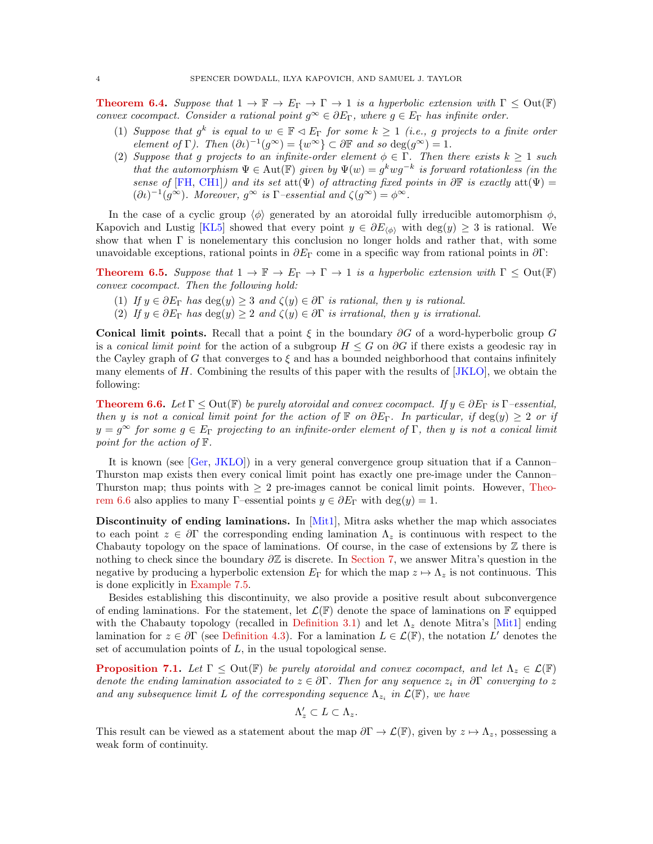**[Theorem 6.4.](#page-19-0)** Suppose that  $1 \to \mathbb{F} \to E_{\Gamma} \to \Gamma \to 1$  is a hyperbolic extension with  $\Gamma \leq Out(\mathbb{F})$ convex cocompact. Consider a rational point  $g^{\infty} \in \partial E_{\Gamma}$ , where  $g \in E_{\Gamma}$  has infinite order.

- (1) Suppose that  $g^k$  is equal to  $w \in \mathbb{F} \triangleleft E_\Gamma$  for some  $k \geq 1$  (i.e., g projects to a finite order element of  $\Gamma$ ). Then  $(\partial t)^{-1}(g^{\infty}) = \{w^{\infty}\}\subset \partial \mathbb{F}$  and so  $\deg(g^{\infty}) = 1$ .
- (2) Suppose that g projects to an infinite-order element  $\phi \in \Gamma$ . Then there exists  $k \geq 1$  such that the automorphism  $\Psi \in \text{Aut}(\mathbb{F})$  given by  $\Psi(w) = g^k w g^{-k}$  is forward rotationless (in the sense of [\[FH,](#page-24-15) [CH1\]](#page-24-16)) and its set att $(\Psi)$  of attracting fixed points in  $\partial \mathbb{F}$  is exactly att $(\Psi)$  =  $(\partial \iota)^{-1}(g^{\infty})$ . Moreover,  $g^{\infty}$  is  $\Gamma$ -essential and  $\zeta(g^{\infty}) = \phi^{\infty}$ .

In the case of a cyclic group  $\langle \phi \rangle$  generated by an atoroidal fully irreducible automorphism  $\phi$ , Kapovich and Lustig [\[KL5\]](#page-25-0) showed that every point  $y \in \partial E_{\langle \phi \rangle}$  with  $\deg(y) \geq 3$  is rational. We show that when  $\Gamma$  is nonelementary this conclusion no longer holds and rather that, with some unavoidable exceptions, rational points in  $\partial E_{\Gamma}$  come in a specific way from rational points in  $\partial \Gamma$ :

**[Theorem 6.5.](#page-19-1)** Suppose that  $1 \to \mathbb{F} \to E_{\Gamma} \to \Gamma \to 1$  is a hyperbolic extension with  $\Gamma \leq Out(\mathbb{F})$ convex cocompact. Then the following hold:

- (1) If  $y \in \partial E_\Gamma$  has  $\deg(y) \geq 3$  and  $\zeta(y) \in \partial \Gamma$  is rational, then y is rational.
- (2) If  $y \in \partial E_\Gamma$  has  $\deg(y) \geq 2$  and  $\zeta(y) \in \partial \Gamma$  is irrational, then y is irrational.

Conical limit points. Recall that a point  $\xi$  in the boundary  $\partial G$  of a word-hyperbolic group G is a conical limit point for the action of a subgroup  $H \leq G$  on  $\partial G$  if there exists a geodesic ray in the Cayley graph of G that converges to  $\xi$  and has a bounded neighborhood that contains infinitely many elements of  $H$ . Combining the results of this paper with the results of  $[JKLO]$ , we obtain the following:

**[Theorem 6.6.](#page-20-0)** Let  $\Gamma \leq$  Out( $\mathbb{F}$ ) be purely atoroidal and convex cocompact. If  $y \in \partial E_{\Gamma}$  is  $\Gamma$ -essential, then y is not a conical limit point for the action of  $\mathbb F$  on  $\partial E_\Gamma$ . In particular, if  $\deg(y) \geq 2$  or if  $y = g^{\infty}$  for some  $g \in E_{\Gamma}$  projecting to an infinite-order element of  $\Gamma$ , then y is not a conical limit point for the action of F.

It is known (see [\[Ger,](#page-24-3) [JKLO\]](#page-24-6)) in a very general convergence group situation that if a Cannon– Thurston map exists then every conical limit point has exactly one pre-image under the Cannon– Thurston map; thus points with  $\geq 2$  pre-images cannot be conical limit points. However, [Theo](#page-20-0)[rem 6.6](#page-20-0) also applies to many Γ–essential points  $y \in \partial E_{\Gamma}$  with  $\deg(y) = 1$ .

Discontinuity of ending laminations. In [\[Mit1\]](#page-25-15), Mitra asks whether the map which associates to each point  $z \in \partial \Gamma$  the corresponding ending lamination  $\Lambda_z$  is continuous with respect to the Chabauty topology on the space of laminations. Of course, in the case of extensions by  $\mathbb Z$  there is nothing to check since the boundary  $\partial \mathbb{Z}$  is discrete. In [Section 7,](#page-20-1) we answer Mitra's question in the negative by producing a hyperbolic extension  $E_{\Gamma}$  for which the map  $z \mapsto \Lambda_z$  is not continuous. This is done explicitly in [Example 7.5.](#page-22-0)

Besides establishing this discontinuity, we also provide a positive result about subconvergence of ending laminations. For the statement, let  $\mathcal{L}(\mathbb{F})$  denote the space of laminations on  $\mathbb{F}$  equipped with the Chabauty topology (recalled in [Definition 3.1\)](#page-5-0) and let  $\Lambda_z$  denote Mitra's [\[Mit1\]](#page-25-15) ending lamination for  $z \in \partial \Gamma$  (see [Definition 4.3\)](#page-11-0). For a lamination  $L \in \mathcal{L}(\mathbb{F})$ , the notation  $L'$  denotes the set of accumulation points of  $L$ , in the usual topological sense.

**[Proposition 7.1.](#page-21-0)** Let  $\Gamma \leq$  Out( $\mathbb{F}$ ) be purely atoroidal and convex cocompact, and let  $\Lambda_z \in \mathcal{L}(\mathbb{F})$ denote the ending lamination associated to  $z \in \partial \Gamma$ . Then for any sequence  $z_i$  in  $\partial \Gamma$  converging to z and any subsequence limit L of the corresponding sequence  $\Lambda_{z_i}$  in  $\mathcal{L}(\mathbb{F})$ , we have

$$
\Lambda'_z\subset L\subset \Lambda_z.
$$

This result can be viewed as a statement about the map  $\partial \Gamma \to \mathcal{L}(\mathbb{F})$ , given by  $z \mapsto \Lambda_z$ , possessing a weak form of continuity.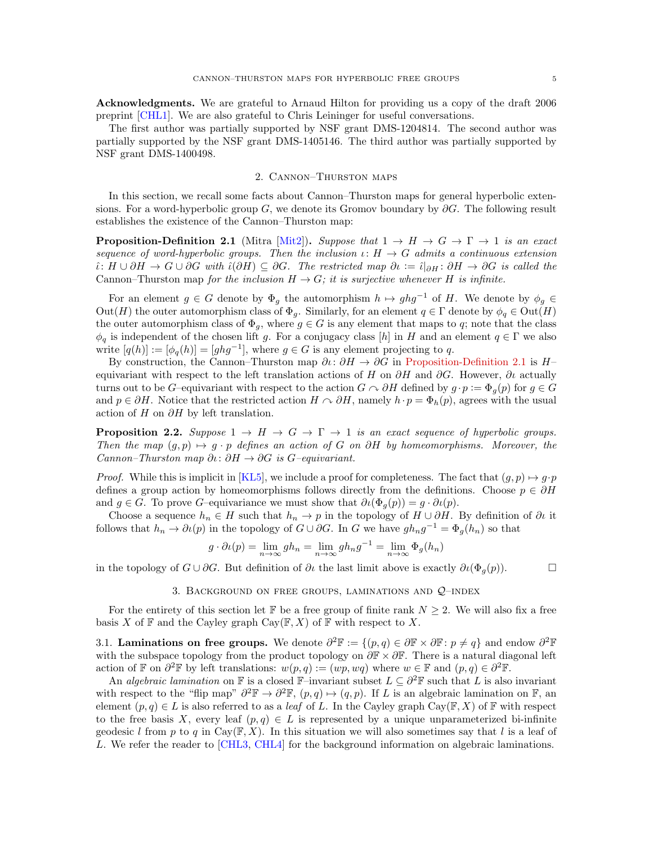Acknowledgments. We are grateful to Arnaud Hilton for providing us a copy of the draft 2006 preprint [\[CHL1\]](#page-24-17). We are also grateful to Chris Leininger for useful conversations.

The first author was partially supported by NSF grant DMS-1204814. The second author was partially supported by the NSF grant DMS-1405146. The third author was partially supported by NSF grant DMS-1400498.

### 2. Cannon–Thurston maps

In this section, we recall some facts about Cannon–Thurston maps for general hyperbolic extensions. For a word-hyperbolic group  $G$ , we denote its Gromov boundary by  $\partial G$ . The following result establishes the existence of the Cannon–Thurston map:

<span id="page-4-0"></span>**Proposition-Definition 2.1** (Mitra [\[Mit2\]](#page-25-1)). Suppose that  $1 \rightarrow H \rightarrow G \rightarrow \Gamma \rightarrow 1$  is an exact sequence of word-hyperbolic groups. Then the inclusion  $\iota: H \to G$  admits a continuous extension  $\hat{\iota}: H \cup \partial H \to G \cup \partial G$  with  $\hat{\iota}(\partial H) \subseteq \partial G$ . The restricted map  $\partial \iota := \hat{\iota}|_{\partial H} : \partial H \to \partial G$  is called the Cannon–Thurston map for the inclusion  $H \to G$ ; it is surjective whenever H is infinite.

For an element  $g \in G$  denote by  $\Phi_g$  the automorphism  $h \mapsto ghg^{-1}$  of H. We denote by  $\phi_g \in$  $Out(H)$  the outer automorphism class of  $\Phi_g$ . Similarly, for an element  $q \in \Gamma$  denote by  $\phi_q \in Out(H)$ the outer automorphism class of  $\Phi_g$ , where  $g \in G$  is any element that maps to q; note that the class  $\phi_q$  is independent of the chosen lift g. For a conjugacy class [h] in H and an element  $q \in \Gamma$  we also write  $[q(h)] := [\phi_q(h)] = [ghg^{-1}]$ , where  $g \in G$  is any element projecting to q.

By construction, the Cannon–Thurston map  $\partial\iota\colon \partial H \to \partial G$  in [Proposition-Definition 2.1](#page-4-0) is H– equivariant with respect to the left translation actions of H on  $\partial H$  and  $\partial G$ . However,  $\partial\iota$  actually turns out to be G–equivariant with respect to the action  $G \cap \partial H$  defined by  $g \cdot p := \Phi_q(p)$  for  $g \in G$ and  $p \in \partial H$ . Notice that the restricted action  $H \cap \partial H$ , namely  $h \cdot p = \Phi_h(p)$ , agrees with the usual action of H on  $\partial H$  by left translation.

<span id="page-4-1"></span>**Proposition 2.2.** Suppose  $1 \rightarrow H \rightarrow G \rightarrow \Gamma \rightarrow 1$  is an exact sequence of hyperbolic groups. Then the map  $(g, p) \mapsto g \cdot p$  defines an action of G on ∂H by homeomorphisms. Moreover, the Cannon–Thurston map  $\partial \iota : \partial H \to \partial G$  is G–equivariant.

*Proof.* While this is implicit in [\[KL5\]](#page-25-0), we include a proof for completeness. The fact that  $(g, p) \mapsto g \cdot p$ defines a group action by homeomorphisms follows directly from the definitions. Choose  $p \in \partial H$ and  $g \in G$ . To prove G–equivariance we must show that  $\partial \iota(\Phi_g(p)) = g \cdot \partial \iota(p)$ .

Choose a sequence  $h_n \in H$  such that  $h_n \to p$  in the topology of  $H \cup \partial H$ . By definition of  $\partial \iota$  it follows that  $h_n \to \partial \iota(p)$  in the topology of  $G \cup \partial G$ . In G we have  $gh_n g^{-1} = \Phi_g(h_n)$  so that

$$
g \cdot \partial \iota(p) = \lim_{n \to \infty} gh_n = \lim_{n \to \infty} gh_n g^{-1} = \lim_{n \to \infty} \Phi_g(h_n)
$$

in the topology of  $G \cup \partial G$ . But definition of  $\partial \iota$  the last limit above is exactly  $\partial \iota(\Phi_q(p))$ .

3. BACKGROUND ON FREE GROUPS, LAMINATIONS AND  $Q$ -INDEX

For the entirety of this section let F be a free group of finite rank  $N \geq 2$ . We will also fix a free basis X of  $\mathbb F$  and the Cayley graph Cay( $\mathbb F, X$ ) of  $\mathbb F$  with respect to X.

<span id="page-4-2"></span>3.1. Laminations on free groups. We denote  $\partial^2 \mathbb{F} := \{(p,q) \in \partial \mathbb{F} \times \partial \mathbb{F} : p \neq q\}$  and endow  $\partial^2 \mathbb{F}$ with the subspace topology from the product topology on  $\partial \mathbb{F} \times \partial \mathbb{F}$ . There is a natural diagonal left action of F on  $\partial^2$ F by left translations:  $w(p,q) := (wp, wq)$  where  $w \in \mathbb{F}$  and  $(p,q) \in \partial^2 \mathbb{F}$ .

An algebraic lamination on F is a closed F–invariant subset  $L \subseteq \partial^2 \mathbb{F}$  such that L is also invariant with respect to the "flip map"  $\partial^2 \mathbb{F} \to \partial^2 \mathbb{F}$ ,  $(p,q) \mapsto (q,p)$ . If L is an algebraic lamination on F, an element  $(p, q) \in L$  is also referred to as a *leaf* of L. In the Cayley graph Cay( $\mathbb{F}, X$ ) of  $\mathbb{F}$  with respect to the free basis X, every leaf  $(p,q) \in L$  is represented by a unique unparameterized bi-infinite geodesic l from p to q in Cay( $\mathbb{F}, X$ ). In this situation we will also sometimes say that l is a leaf of L. We refer the reader to [\[CHL3,](#page-24-9) [CHL4\]](#page-24-10) for the background information on algebraic laminations.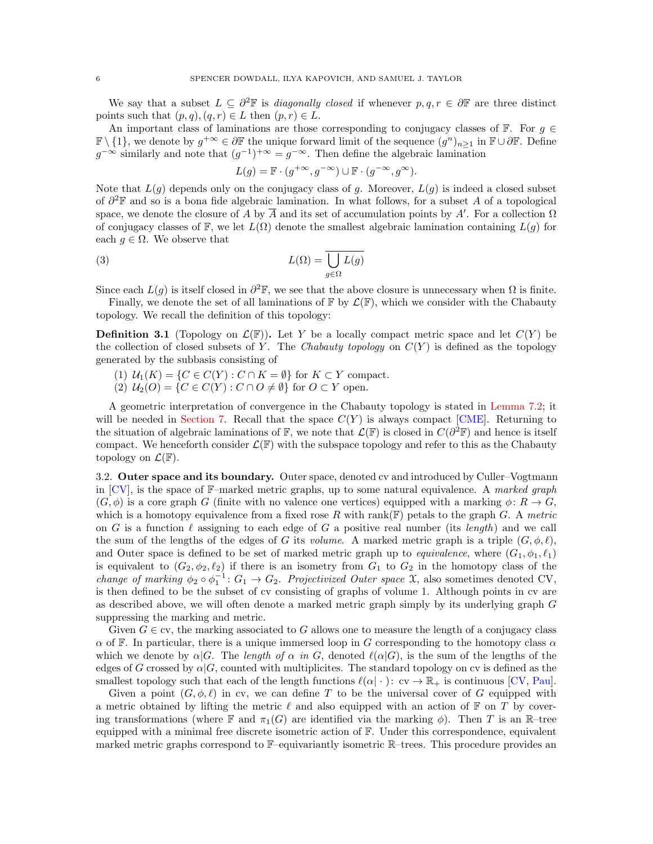We say that a subset  $L \subseteq \partial^2 \mathbb{F}$  is *diagonally closed* if whenever  $p, q, r \in \partial \mathbb{F}$  are three distinct points such that  $(p, q), (q, r) \in L$  then  $(p, r) \in L$ .

An important class of laminations are those corresponding to conjugacy classes of  $\mathbb{F}$ . For  $g \in$  $\mathbb{F}\setminus\{1\}$ , we denote by  $g^{+\infty} \in \partial \mathbb{F}$  the unique forward limit of the sequence  $(g^n)_{n\geq 1}$  in  $\mathbb{F}\cup \partial \mathbb{F}$ . Define  $g^{-\infty}$  similarly and note that  $(g^{-1})^{+\infty} = g^{-\infty}$ . Then define the algebraic lamination

$$
L(g) = \mathbb{F} \cdot (g^{+\infty}, g^{-\infty}) \cup \mathbb{F} \cdot (g^{-\infty}, g^{\infty}).
$$

Note that  $L(g)$  depends only on the conjugacy class of g. Moreover,  $L(g)$  is indeed a closed subset of  $\partial^2 \mathbb{F}$  and so is a bona fide algebraic lamination. In what follows, for a subset A of a topological space, we denote the closure of A by  $\overline{A}$  and its set of accumulation points by A'. For a collection  $\Omega$ of conjugacy classes of F, we let  $L(\Omega)$  denote the smallest algebraic lamination containing  $L(g)$  for each  $q \in \Omega$ . We observe that

(3) 
$$
L(\Omega) = \overline{\bigcup_{g \in \Omega} L(g)}
$$

Since each  $L(g)$  is itself closed in  $\partial^2 \mathbb{F}$ , we see that the above closure is unnecessary when  $\Omega$  is finite.

Finally, we denote the set of all laminations of  $\mathbb{F}$  by  $\mathcal{L}(\mathbb{F})$ , which we consider with the Chabauty topology. We recall the definition of this topology:

<span id="page-5-0"></span>**Definition 3.1** (Topology on  $\mathcal{L}(\mathbb{F})$ ). Let Y be a locally compact metric space and let  $C(Y)$  be the collection of closed subsets of Y. The Chabauty topology on  $C(Y)$  is defined as the topology generated by the subbasis consisting of

- (1)  $\mathcal{U}_1(K) = \{ C \in C(Y) : C \cap K = \emptyset \}$  for  $K \subset Y$  compact.
- $(2)$   $U_2(O) = \{C \in C(Y) : C \cap O \neq \emptyset\}$  for  $O \subset Y$  open.

A geometric interpretation of convergence in the Chabauty topology is stated in [Lemma 7.2;](#page-21-1) it will be needed in [Section 7.](#page-20-1) Recall that the space  $C(Y)$  is always compact [\[CME\]](#page-24-18). Returning to the situation of algebraic laminations of  $\mathbb{F}$ , we note that  $\mathcal{L}(\mathbb{F})$  is closed in  $C(\partial^2 \mathbb{F})$  and hence is itself compact. We henceforth consider  $\mathcal{L}(\mathbb{F})$  with the subspace topology and refer to this as the Chabauty topology on  $\mathcal{L}(\mathbb{F})$ .

3.2. Outer space and its boundary. Outer space, denoted cv and introduced by Culler–Vogtmann in [\[CV\]](#page-24-19), is the space of F–marked metric graphs, up to some natural equivalence. A marked graph  $(G, \phi)$  is a core graph G (finite with no valence one vertices) equipped with a marking  $\phi \colon R \to G$ , which is a homotopy equivalence from a fixed rose R with rank( $F$ ) petals to the graph G. A metric on G is a function  $\ell$  assigning to each edge of G a positive real number (its length) and we call the sum of the lengths of the edges of G its volume. A marked metric graph is a triple  $(G, \phi, \ell)$ , and Outer space is defined to be set of marked metric graph up to *equivalence*, where  $(G_1, \phi_1, \ell_1)$ is equivalent to  $(G_2, \phi_2, \ell_2)$  if there is an isometry from  $G_1$  to  $G_2$  in the homotopy class of the change of marking  $\phi_2 \circ \phi_1^{-1}$ :  $G_1 \to G_2$ . Projectivized Outer space X, also sometimes denoted CV, is then defined to be the subset of cv consisting of graphs of volume 1. Although points in cv are as described above, we will often denote a marked metric graph simply by its underlying graph G suppressing the marking and metric.

Given  $G \in \text{cv}$ , the marking associated to G allows one to measure the length of a conjugacy class  $\alpha$  of F. In particular, there is a unique immersed loop in G corresponding to the homotopy class  $\alpha$ which we denote by  $\alpha|G$ . The length of  $\alpha$  in G, denoted  $\ell(\alpha|G)$ , is the sum of the lengths of the edges of G crossed by  $\alpha|G$ , counted with multiplicites. The standard topology on cv is defined as the smallest topology such that each of the length functions  $\ell(\alpha \mid \cdot) : c_v \to \mathbb{R}_+$  is continuous [\[CV,](#page-24-19) [Pau\]](#page-25-18).

Given a point  $(G, \phi, \ell)$  in cv, we can define T to be the universal cover of G equipped with a metric obtained by lifting the metric  $\ell$  and also equipped with an action of  $\mathbb F$  on  $T$  by covering transformations (where  $\mathbb F$  and  $\pi_1(G)$  are identified via the marking  $\phi$ ). Then T is an R-tree equipped with a minimal free discrete isometric action of F. Under this correspondence, equivalent marked metric graphs correspond to F–equivariantly isometric R–trees. This procedure provides an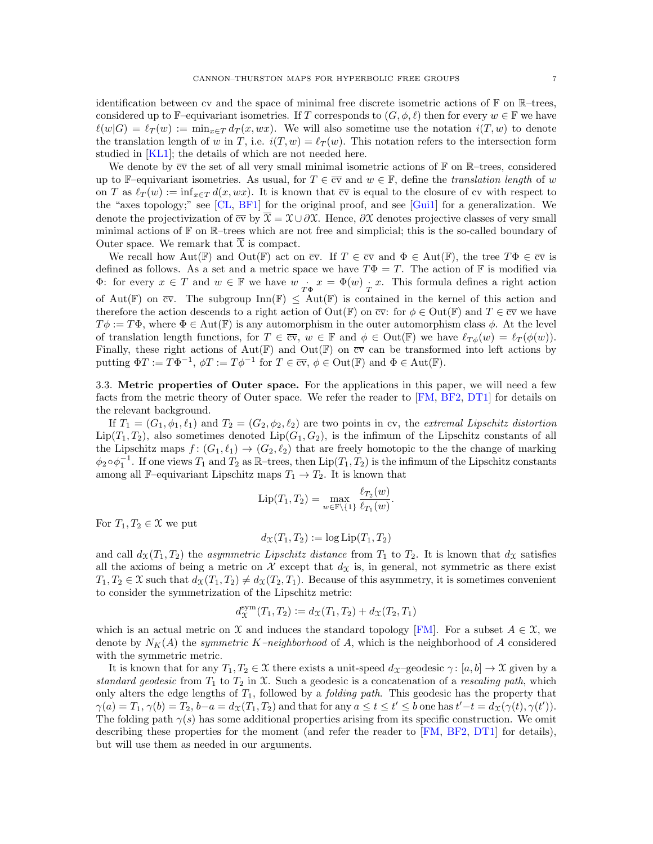identification between cv and the space of minimal free discrete isometric actions of  $\mathbb F$  on  $\mathbb R$ –trees, considered up to F–equivariant isometries. If T corresponds to  $(G, \phi, \ell)$  then for every  $w \in \mathbb{F}$  we have  $\ell(w|G) = \ell_T (w) := \min_{x \in T} d_T (x, wx).$  We will also sometime use the notation  $i(T, w)$  to denote the translation length of w in T, i.e.  $i(T, w) = \ell_T(w)$ . This notation refers to the intersection form studied in [\[KL1\]](#page-25-16); the details of which are not needed here.

We denote by  $\overline{cv}$  the set of all very small minimal isometric actions of  $\mathbb F$  on R–trees, considered up to F–equivariant isometries. As usual, for  $T \in \overline{cv}$  and  $w \in \mathbb{F}$ , define the translation length of w on T as  $\ell_T(w) := \inf_{x \in T} d(x, wx)$ . It is known that  $\overline{cv}$  is equal to the closure of cv with respect to the "axes topology;" see [\[CL,](#page-24-20) [BF1\]](#page-24-21) for the original proof, and see [\[Gui1\]](#page-24-22) for a generalization. We denote the projectivization of  $\overline{cv}$  by  $\overline{X} = \mathcal{X} \cup \partial \mathcal{X}$ . Hence,  $\partial \mathcal{X}$  denotes projective classes of very small minimal actions of  $\mathbb F$  on  $\mathbb R$ –trees which are not free and simplicial; this is the so-called boundary of Outer space. We remark that  $\overline{\mathfrak{X}}$  is compact.

We recall how  $Aut(\mathbb{F})$  and  $Out(\mathbb{F})$  act on  $\overline{cv}$ . If  $T \in \overline{cv}$  and  $\Phi \in Aut(\mathbb{F})$ , the tree  $T\Phi \in \overline{cv}$  is defined as follows. As a set and a metric space we have  $T\Phi = T$ . The action of F is modified via  $\Phi$ : for every  $x \in T$  and  $w \in \mathbb{F}$  we have  $w \cdot \overrightarrow{r_{\Phi}} x = \Phi(w) \cdot \overrightarrow{r} x$ . This formula defines a right action of Aut(F) on  $\overline{cv}$ . The subgroup Inn(F)  $\leq$  Aut(F) is contained in the kernel of this action and therefore the action descends to a right action of  $Out(\mathbb{F})$  on  $\overline{cv}$ : for  $\phi \in Out(\mathbb{F})$  and  $T \in \overline{cv}$  we have  $T\phi := T\Phi$ , where  $\Phi \in \text{Aut}(\mathbb{F})$  is any automorphism in the outer automorphism class  $\phi$ . At the level of translation length functions, for  $T \in \overline{cv}$ ,  $w \in \mathbb{F}$  and  $\phi \in \text{Out}(\mathbb{F})$  we have  $\ell_{T\phi}(w) = \ell_T(\phi(w))$ . Finally, these right actions of  $Aut(\mathbb{F})$  and  $Out(\mathbb{F})$  on  $\overline{cv}$  can be transformed into left actions by putting  $\Phi T := T\Phi^{-1}$ ,  $\phi T := T\phi^{-1}$  for  $T \in \overline{\text{cv}}, \phi \in \text{Out}(\mathbb{F})$  and  $\Phi \in \text{Aut}(\mathbb{F})$ .

3.3. Metric properties of Outer space. For the applications in this paper, we will need a few facts from the metric theory of Outer space. We refer the reader to [\[FM,](#page-24-23) [BF2,](#page-24-8) [DT1\]](#page-24-0) for details on the relevant background.

If  $T_1 = (G_1, \phi_1, \ell_1)$  and  $T_2 = (G_2, \phi_2, \ell_2)$  are two points in cv, the extremal Lipschitz distortion  $\text{Lip}(T_1, T_2)$ , also sometimes denoted  $\text{Lip}(G_1, G_2)$ , is the infimum of the Lipschitz constants of all the Lipschitz maps  $f : (G_1, \ell_1) \to (G_2, \ell_2)$  that are freely homotopic to the the change of marking  $\phi_2 \circ \phi_1^{-1}$ . If one views  $T_1$  and  $T_2$  as  $\mathbb{R}$ -trees, then  $\text{Lip}(T_1, T_2)$  is the infimum of the Lipschitz constants among all F–equivariant Lipschitz maps  $T_1 \rightarrow T_2$ . It is known that

$$
\text{Lip}(T_1, T_2) = \max_{w \in \mathbb{F} \setminus \{1\}} \frac{\ell_{T_2}(w)}{\ell_{T_1}(w)}.
$$

For  $T_1, T_2 \in \mathfrak{X}$  we put

$$
d_{\mathfrak{X}}(T_1,T_2) := \log \mathrm{Lip}(T_1,T_2)
$$

and call  $d_{\mathfrak{X}}(T_1, T_2)$  the *asymmetric Lipschitz distance* from  $T_1$  to  $T_2$ . It is known that  $d_{\mathfrak{X}}$  satisfies all the axioms of being a metric on  $\mathcal X$  except that  $d_{\mathcal X}$  is, in general, not symmetric as there exist  $T_1, T_2 \in \mathfrak{X}$  such that  $d_{\mathfrak{X}}(T_1, T_2) \neq d_{\mathfrak{X}}(T_2, T_1)$ . Because of this asymmetry, it is sometimes convenient to consider the symmetrization of the Lipschitz metric:

$$
d_{\mathcal{X}}^{\text{sym}}(T_1, T_2) := d_{\mathcal{X}}(T_1, T_2) + d_{\mathcal{X}}(T_2, T_1)
$$

which is an actual metric on X and induces the standard topology [\[FM\]](#page-24-23). For a subset  $A \in \mathcal{X}$ , we denote by  $N_K(A)$  the *symmetric K-neighborhood* of A, which is the neighborhood of A considered with the symmetric metric.

It is known that for any  $T_1, T_2 \in \mathcal{X}$  there exists a unit-speed  $d_{\mathcal{X}}$ –geodesic  $\gamma : [a, b] \to \mathcal{X}$  given by a standard geodesic from  $T_1$  to  $T_2$  in X. Such a geodesic is a concatenation of a rescaling path, which only alters the edge lengths of  $T_1$ , followed by a *folding path*. This geodesic has the property that  $\gamma(a) = T_1, \gamma(b) = T_2, b-a = d_X(T_1, T_2)$  and that for any  $a \le t \le t' \le b$  one has  $t'-t = d_X(\gamma(t), \gamma(t'))$ . The folding path  $\gamma(s)$  has some additional properties arising from its specific construction. We omit describing these properties for the moment (and refer the reader to [\[FM,](#page-24-23) [BF2,](#page-24-8) [DT1\]](#page-24-0) for details), but will use them as needed in our arguments.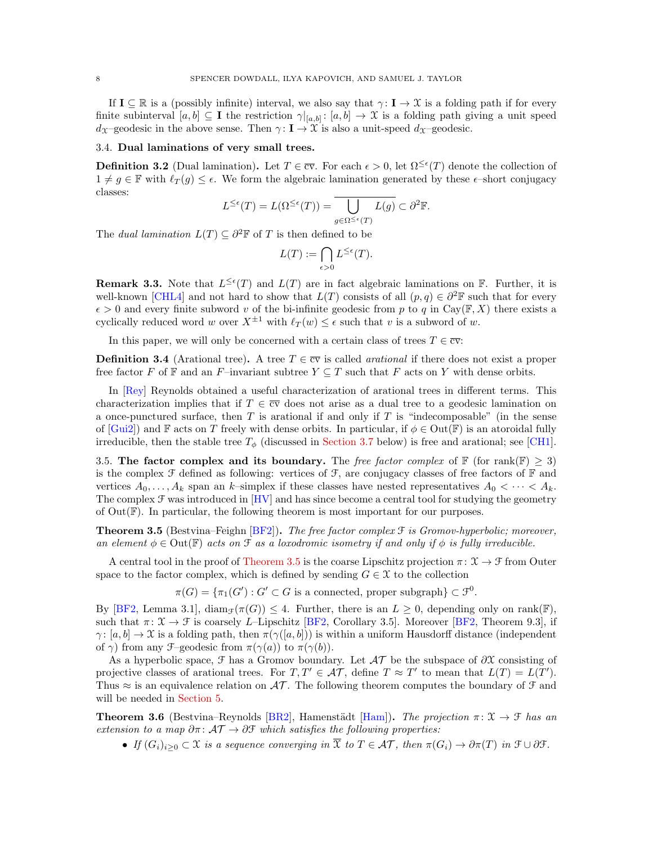If  $I \subseteq \mathbb{R}$  is a (possibly infinite) interval, we also say that  $\gamma: I \to \mathcal{X}$  is a folding path if for every finite subinterval  $[a, b] \subseteq \mathbf{I}$  the restriction  $\gamma|_{[a, b]} : [a, b] \to \mathcal{X}$  is a folding path giving a unit speed d<sub>X</sub>–geodesic in the above sense. Then  $\gamma : I \to \mathcal{X}$  is also a unit-speed d<sub>X</sub>–geodesic.

### 3.4. Dual laminations of very small trees.

<span id="page-7-1"></span>**Definition 3.2** (Dual lamination). Let  $T \in \overline{\text{cv}}$ . For each  $\epsilon > 0$ , let  $\Omega^{\leq \epsilon}(T)$  denote the collection of  $1 \neq g \in \mathbb{F}$  with  $\ell_T (g) \leq \epsilon$ . We form the algebraic lamination generated by these  $\epsilon$ -short conjugacy classes:

$$
L^{\leq\epsilon}(T)=L(\Omega^{\leq\epsilon}(T))=\bigcup_{g\in\Omega^{\leq\epsilon}(T)}L(g)\subset\partial^2\mathbb F.
$$

The *dual lamination*  $L(T) \subseteq \partial^2 \mathbb{F}$  of T is then defined to be

$$
L(T):=\bigcap_{\epsilon>0}L^{\leq\epsilon}(T).
$$

<span id="page-7-3"></span>**Remark 3.3.** Note that  $L^{\leq \epsilon}(T)$  and  $L(T)$  are in fact algebraic laminations on  $\mathbb{F}$ . Further, it is well-known [\[CHL4\]](#page-24-10) and not hard to show that  $L(T)$  consists of all  $(p, q) \in \partial^2 \mathbb{F}$  such that for every  $\epsilon > 0$  and every finite subword v of the bi-infinite geodesic from p to q in Cay( $\mathbb{F}, X$ ) there exists a cyclically reduced word w over  $X^{\pm 1}$  with  $\ell_T (w) \leq \epsilon$  such that v is a subword of w.

In this paper, we will only be concerned with a certain class of trees  $T \in \overline{\text{cv}}$ :

**Definition 3.4** (Arational tree). A tree  $T \in \overline{cv}$  is called *arational* if there does not exist a proper free factor F of F and an F-invariant subtree  $Y \subseteq T$  such that F acts on Y with dense orbits.

In [\[Rey\]](#page-25-19) Reynolds obtained a useful characterization of arational trees in different terms. This characterization implies that if  $T \in \overline{cv}$  does not arise as a dual tree to a geodesic lamination on a once-punctured surface, then  $T$  is arational if and only if  $T$  is "indecomposable" (in the sense of  $[Gui2]$  and F acts on T freely with dense orbits. In particular, if  $\phi \in Out(\mathbb{F})$  is an atoroidal fully irreducible, then the stable tree  $T_{\phi}$  (discussed in [Section 3.7](#page-9-0) below) is free and arational; see [\[CH1\]](#page-24-16).

3.5. The factor complex and its boundary. The free factor complex of  $\mathbb{F}$  (for rank $(\mathbb{F}) \geq 3$ ) is the complex  $\mathcal F$  defined as following: vertices of  $\mathcal F$ , are conjugacy classes of free factors of  $\mathbb F$  and vertices  $A_0, \ldots, A_k$  span an k–simplex if these classes have nested representatives  $A_0 < \cdots < A_k$ . The complex  $\mathcal F$  was introduced in  $[HV]$  and has since become a central tool for studying the geometry of  $Out(\mathbb{F})$ . In particular, the following theorem is most important for our purposes.

<span id="page-7-0"></span>**Theorem 3.5** (Bestvina–Feighn  $|BF2|$ ). The free factor complex  $\mathcal F$  is Gromov-hyperbolic; moreover, an element  $\phi \in \text{Out}(\mathbb{F})$  acts on  $\mathcal F$  as a loxodromic isometry if and only if  $\phi$  is fully irreducible.

A central tool in the proof of [Theorem 3.5](#page-7-0) is the coarse Lipschitz projection  $\pi: \mathcal{X} \to \mathcal{F}$  from Outer space to the factor complex, which is defined by sending  $G \in \mathfrak{X}$  to the collection

 $\pi(G) = {\pi_1(G') : G' \subset G$  is a connected, proper subgraph $} \subset \mathcal{F}^0$ .

By [\[BF2,](#page-24-8) Lemma 3.1],  $\text{diam}_{\mathcal{F}}(\pi(G)) \leq 4$ . Further, there is an  $L \geq 0$ , depending only on rank(F), such that  $\pi: \mathfrak{X} \to \mathfrak{F}$  is coarsely L–Lipschitz [\[BF2,](#page-24-8) Corollary 3.5]. Moreover [BF2, Theorem 9.3], if  $\gamma: [a, b] \to \mathfrak{X}$  is a folding path, then  $\pi(\gamma([a, b]))$  is within a uniform Hausdorff distance (independent of  $\gamma$ ) from any F–geodesic from  $\pi(\gamma(a))$  to  $\pi(\gamma(b))$ .

As a hyperbolic space,  $\mathcal F$  has a Gromov boundary. Let  $\mathcal A\mathcal T$  be the subspace of  $\partial \mathcal X$  consisting of projective classes of arational trees. For  $T, T' \in \mathcal{AT}$ , define  $T \approx T'$  to mean that  $L(T) = L(T')$ . Thus  $\approx$  is an equivalence relation on  $\mathcal{AT}$ . The following theorem computes the boundary of  $\mathcal F$  and will be needed in [Section 5.](#page-12-1)

<span id="page-7-2"></span>**Theorem 3.6** (Bestvina–Reynolds [\[BR2\]](#page-24-11), Hamenstädt [\[Ham\]](#page-24-12)). The projection  $\pi: \mathcal{X} \to \mathcal{F}$  has an extension to a map  $\partial \pi \colon \mathcal{AT} \to \partial \mathcal{F}$  which satisfies the following properties:

• If  $(G_i)_{i>0} \subset \mathfrak{X}$  is a sequence converging in  $\overline{\mathfrak{X}}$  to  $T \in \mathcal{AT}$ , then  $\pi(G_i) \to \partial \pi(T)$  in  $\mathfrak{F} \cup \partial \mathfrak{F}$ .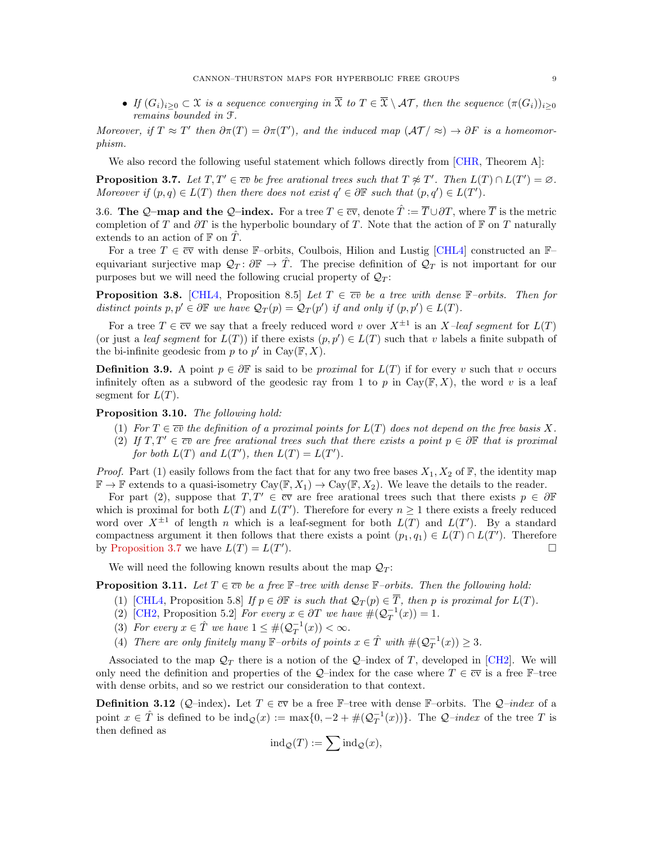• If  $(G_i)_{i\geq 0} \subset \mathfrak{X}$  is a sequence converging in  $\overline{\mathfrak{X}}$  to  $T \in \overline{\mathfrak{X}} \setminus \mathcal{AT}$ , then the sequence  $(\pi(G_i))_{i\geq 0}$ remains bounded in F.

Moreover, if  $T \approx T'$  then  $\partial \pi(T) = \partial \pi(T')$ , and the induced map  $(\mathcal{AT}/\approx) \to \partial F$  is a homeomorphism.

We also record the following useful statement which follows directly from [\[CHR,](#page-24-26) Theorem A]:

<span id="page-8-1"></span>**Proposition 3.7.** Let  $T, T' \in \overline{cv}$  be free arational trees such that  $T \not\approx T'$ . Then  $L(T) \cap L(T') = \emptyset$ . Moreover if  $(p, q) \in L(T)$  then there does not exist  $q' \in \partial \mathbb{F}$  such that  $(p, q') \in L(T')$ .

3.6. The Q–map and the Q–index. For a tree  $T \in \overline{cv}$ , denote  $\hat{T} := \overline{T} \cup \partial T$ , where  $\overline{T}$  is the metric completion of T and  $\partial T$  is the hyperbolic boundary of T. Note that the action of F on T naturally extends to an action of  $\mathbb F$  on  $\tilde T$ .

For a tree  $T \in \overline{cv}$  with dense F–orbits, Coulbois, Hilion and Lustig [\[CHL4\]](#page-24-10) constructed an F– equivariant surjective map  $\mathcal{Q}_T: \partial \mathbb{F} \to \hat{T}$ . The precise definition of  $\mathcal{Q}_T$  is not important for our purposes but we will need the following crucial property of  $\mathcal{Q}_T$ :

<span id="page-8-3"></span>**Proposition 3.8.** [\[CHL4,](#page-24-10) Proposition 8.5] Let  $T \in \overline{cv}$  be a tree with dense F-orbits. Then for distinct points  $p, p' \in \partial \mathbb{F}$  we have  $\mathcal{Q}_T(p) = \mathcal{Q}_T(p')$  if and only if  $(p, p') \in L(T)$ .

For a tree  $T \in \overline{cv}$  we say that a freely reduced word v over  $X^{\pm 1}$  is an X-leaf segment for  $L(T)$ (or just a *leaf segment* for  $L(T)$ ) if there exists  $(p, p') \in L(T)$  such that v labels a finite subpath of the bi-infinite geodesic from p to p' in Cay( $\mathbb{F}, X$ ).

<span id="page-8-0"></span>**Definition 3.9.** A point  $p \in \partial \mathbb{F}$  is said to be *proximal* for  $L(T)$  if for every v such that v occurs infinitely often as a subword of the geodesic ray from 1 to p in Cay( $\mathbb{F}, X$ ), the word v is a leaf segment for  $L(T)$ .

<span id="page-8-4"></span>Proposition 3.10. The following hold:

- (1) For  $T \in \overline{cv}$  the definition of a proximal points for  $L(T)$  does not depend on the free basis X.
- (2) If  $T, T' \in \overline{cv}$  are free arational trees such that there exists a point  $p \in \partial \mathbb{F}$  that is proximal for both  $L(T)$  and  $L(T')$ , then  $L(T) = L(T')$ .

*Proof.* Part (1) easily follows from the fact that for any two free bases  $X_1, X_2$  of  $\mathbb{F}$ , the identity map  $\mathbb{F} \to \mathbb{F}$  extends to a quasi-isometry  $Cay(\mathbb{F}, X_1) \to Cay(\mathbb{F}, X_2)$ . We leave the details to the reader.

For part (2), suppose that  $T, T' \in \overline{cv}$  are free arational trees such that there exists  $p \in \partial \mathbb{F}$ which is proximal for both  $L(T)$  and  $L(T')$ . Therefore for every  $n \geq 1$  there exists a freely reduced word over  $X^{\pm 1}$  of length n which is a leaf-segment for both  $L(T)$  and  $L(T')$ . By a standard compactness argument it then follows that there exists a point  $(p_1, q_1) \in L(T) \cap L(T')$ . Therefore by [Proposition 3.7](#page-8-1) we have  $L(T) = L(T'$ ).

We will need the following known results about the map  $\mathcal{Q}_T$ :

<span id="page-8-2"></span>**Proposition 3.11.** Let  $T \in \overline{cv}$  be a free  $\mathbb{F}-$ tree with dense  $\mathbb{F}-$ orbits. Then the following hold:

- (1) [\[CHL4,](#page-24-10) Proposition 5.8] If  $p \in \partial \mathbb{F}$  is such that  $\mathcal{Q}_T(p) \in \overline{T}$ , then p is proximal for  $L(T)$ .
- (2) [\[CH2,](#page-24-13) Proposition 5.2] For every  $x \in \partial T$  we have  $\#(\mathcal{Q}_T^{-1}(x)) = 1$ .
- (3) For every  $x \in \hat{T}$  we have  $1 \leq #(\mathcal{Q}_T^{-1}(x)) < \infty$ .
- (4) There are only finitely many  $\mathbb{F}-orbits$  of points  $x \in \hat{T}$  with  $\#(Q_T^{-1}(x)) \geq 3$ .

Associated to the map  $\mathcal{Q}_T$  there is a notion of the Q-index of T, developed in [\[CH2\]](#page-24-13). We will only need the definition and properties of the Q–index for the case where  $T \in \overline{cv}$  is a free F–tree with dense orbits, and so we restrict our consideration to that context.

**Definition 3.12** (Q–index). Let  $T \in \overline{cv}$  be a free F–tree with dense F–orbits. The Q–index of a point  $x \in \hat{T}$  is defined to be  $\text{ind}_{\mathcal{Q}}(x) := \max\{0, -2 + \#(\mathcal{Q}_T^{-1}(x))\}\.$  The  $\mathcal{Q}-index$  of the tree T is then defined as

$$
ind_{\mathcal{Q}}(T) := \sum ind_{\mathcal{Q}}(x),
$$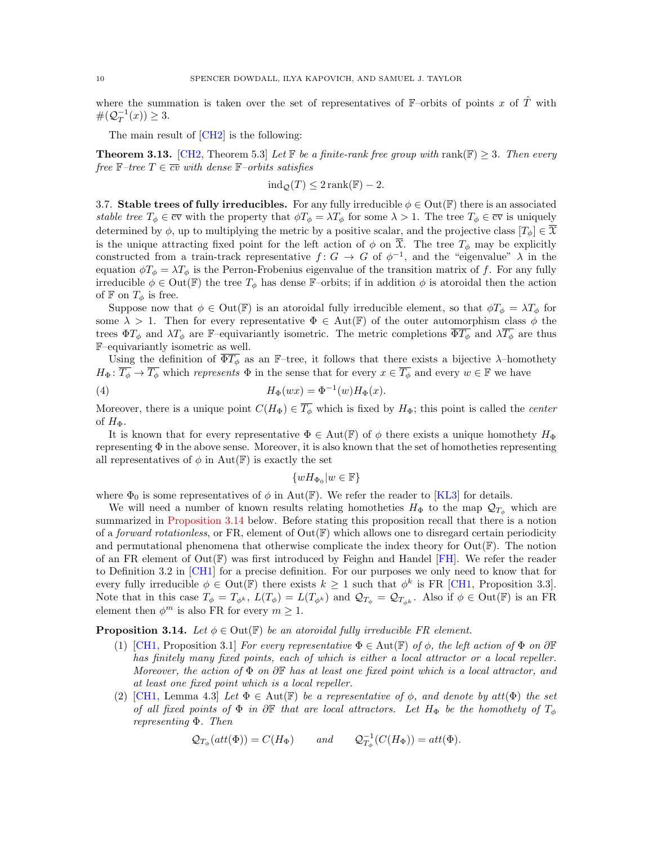where the summation is taken over the set of representatives of  $\mathbb{F}-$ orbits of points x of  $\hat{T}$  with  $\#(Q_T^{-1}(x)) \geq 3.$ 

The main result of [\[CH2\]](#page-24-13) is the following:

<span id="page-9-2"></span>**Theorem 3.13.** [\[CH2,](#page-24-13) Theorem 5.3] Let F be a finite-rank free group with rank(F)  $\geq$  3. Then every free  $\mathbb{F}$ -tree  $T \in \overline{cv}$  with dense  $\mathbb{F}$ -orbits satisfies

$$
ind_{\mathcal{Q}}(T) \leq 2 \operatorname{rank}(\mathbb{F}) - 2.
$$

<span id="page-9-0"></span>3.7. Stable trees of fully irreducibles. For any fully irreducible  $\phi \in \text{Out}(\mathbb{F})$  there is an associated stable tree  $T_{\phi} \in \overline{cv}$  with the property that  $\phi T_{\phi} = \lambda T_{\phi}$  for some  $\lambda > 1$ . The tree  $T_{\phi} \in \overline{cv}$  is uniquely determined by  $\phi$ , up to multiplying the metric by a positive scalar, and the projective class  $[T_{\phi}] \in \overline{X}$ is the unique attracting fixed point for the left action of  $\phi$  on  $\overline{\mathfrak{X}}$ . The tree  $T_{\phi}$  may be explicitly constructed from a train-track representative  $f: G \to G$  of  $\phi^{-1}$ , and the "eigenvalue"  $\lambda$  in the equation  $\phi T_{\phi} = \lambda T_{\phi}$  is the Perron-Frobenius eigenvalue of the transition matrix of f. For any fully irreducible  $\phi \in Out(\mathbb{F})$  the tree  $T_{\phi}$  has dense F-orbits; if in addition  $\phi$  is atoroidal then the action of  $\mathbb F$  on  $T_\phi$  is free.

Suppose now that  $\phi \in \text{Out}(\mathbb{F})$  is an atoroidal fully irreducible element, so that  $\phi T_{\phi} = \lambda T_{\phi}$  for some  $\lambda > 1$ . Then for every representative  $\Phi \in Aut(\mathbb{F})$  of the outer automorphism class  $\phi$  the trees  $\Phi T_{\phi}$  and  $\lambda T_{\phi}$  are F–equivariantly isometric. The metric completions  $\overline{\Phi T_{\phi}}$  and  $\lambda T_{\phi}$  are thus F–equivariantly isometric as well.

Using the definition of  $\overline{\Phi T_{\phi}}$  as an F-tree, it follows that there exists a bijective  $\lambda$ -homothety  $H_{\Phi} : \overline{T_{\phi}} \to \overline{T_{\phi}}$  which *represents*  $\Phi$  in the sense that for every  $x \in \overline{T_{\phi}}$  and every  $w \in \mathbb{F}$  we have

(4) 
$$
H_{\Phi}(wx) = \Phi^{-1}(w)H_{\Phi}(x).
$$

Moreover, there is a unique point  $C(H_{\Phi}) \in \overline{T_{\phi}}$  which is fixed by  $H_{\Phi}$ ; this point is called the *center* of  $H_{\Phi}$ .

It is known that for every representative  $\Phi \in Aut(\mathbb{F})$  of  $\phi$  there exists a unique homothety  $H_{\Phi}$ representing  $\Phi$  in the above sense. Moreover, it is also known that the set of homotheties representing all representatives of  $\phi$  in Aut(F) is exactly the set

<span id="page-9-4"></span>
$$
\{wH_{\Phi_0}|w\in\mathbb{F}\}
$$

where  $\Phi_0$  is some representatives of  $\phi$  in Aut(F). We refer the reader to [\[KL3\]](#page-25-20) for details.

We will need a number of known results relating homotheties  $H_{\Phi}$  to the map  $\mathcal{Q}_{T_{\phi}}$  which are summarized in [Proposition 3.14](#page-9-1) below. Before stating this proposition recall that there is a notion of a *forward rotationless*, or FR, element of  $Out(\mathbb{F})$  which allows one to disregard certain periodicity and permutational phenomena that otherwise complicate the index theory for  $Out(\mathbb{F})$ . The notion of an FR element of  $Out(\mathbb{F})$  was first introduced by Feighn and Handel [\[FH\]](#page-24-15). We refer the reader to Definition 3.2 in [\[CH1\]](#page-24-16) for a precise definition. For our purposes we only need to know that for every fully irreducible  $\phi \in Out(\mathbb{F})$  there exists  $k \geq 1$  such that  $\phi^k$  is FR [\[CH1,](#page-24-16) Proposition 3.3]. Note that in this case  $T_{\phi} = T_{\phi^k}$ ,  $L(T_{\phi}) = L(T_{\phi^k})$  and  $\mathcal{Q}_{T_{\phi}} = \mathcal{Q}_{T_{\phi^k}}$ . Also if  $\phi \in \text{Out}(\mathbb{F})$  is an FR element then  $\phi^m$  is also FR for every  $m \geq 1$ .

### <span id="page-9-1"></span>**Proposition 3.14.** Let  $\phi \in \text{Out}(\mathbb{F})$  be an atoroidal fully irreducible FR element.

- (1) [\[CH1,](#page-24-16) Proposition 3.1] For every representative  $\Phi \in \text{Aut}(\mathbb{F})$  of  $\phi$ , the left action of  $\Phi$  on  $\partial \mathbb{F}$ has finitely many fixed points, each of which is either a local attractor or a local repeller. Moreover, the action of  $\Phi$  on  $\partial \mathbb{F}$  has at least one fixed point which is a local attractor, and at least one fixed point which is a local repeller.
- <span id="page-9-3"></span>(2) [\[CH1,](#page-24-16) Lemma 4.3] Let  $\Phi \in Aut(\mathbb{F})$  be a representative of  $\phi$ , and denote by att $(\Phi)$  the set of all fixed points of  $\Phi$  in  $\partial \mathbb{F}$  that are local attractors. Let  $H_{\Phi}$  be the homothety of  $T_{\phi}$ representing Φ. Then

$$
Q_{T_{\phi}}(att(\Phi)) = C(H_{\Phi})
$$
 and  $Q_{T_{\phi}}^{-1}(C(H_{\Phi})) = att(\Phi)$ .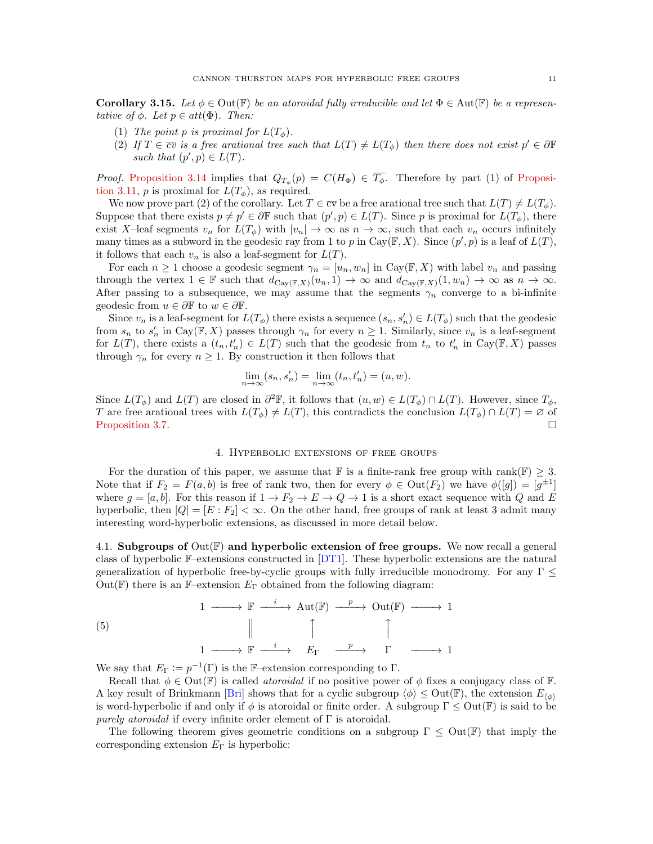**Corollary 3.15.** Let  $\phi \in \text{Out}(\mathbb{F})$  be an atoroidal fully irreducible and let  $\Phi \in \text{Aut}(\mathbb{F})$  be a representative of  $\phi$ . Let  $p \in att(\Phi)$ . Then:

- (1) The point p is proximal for  $L(T_{\phi})$ .
- (2) If  $T \in \overline{cv}$  is a free arational tree such that  $L(T) \neq L(T_{\phi})$  then there does not exist  $p' \in \partial \mathbb{F}$ such that  $(p', p) \in L(T)$ .

*Proof.* [Proposition 3.14](#page-9-1) implies that  $Q_{T_{\phi}}(p) = C(H_{\Phi}) \in T_{\phi}$ . Therefore by part (1) of [Proposi](#page-8-2)[tion 3.11,](#page-8-2) p is proximal for  $L(T_{\phi})$ , as required.

We now prove part (2) of the corollary. Let  $T \in \overline{cv}$  be a free arational tree such that  $L(T) \neq L(T_{\phi})$ . Suppose that there exists  $p \neq p' \in \partial \mathbb{F}$  such that  $(p', p) \in L(T)$ . Since p is proximal for  $L(T_{\phi})$ , there exist X–leaf segments  $v_n$  for  $L(T_\phi)$  with  $|v_n| \to \infty$  as  $n \to \infty$ , such that each  $v_n$  occurs infinitely many times as a subword in the geodesic ray from 1 to p in Cay( $\mathbb{F}, X$ ). Since  $(p', p)$  is a leaf of  $L(T)$ , it follows that each  $v_n$  is also a leaf-segment for  $L(T)$ .

For each  $n \geq 1$  choose a geodesic segment  $\gamma_n = [u_n, w_n]$  in  $Cay(\mathbb{F}, X)$  with label  $v_n$  and passing through the vertex  $1 \in \mathbb{F}$  such that  $d_{\text{Cay}(\mathbb{F},X)}(u_n,1) \to \infty$  and  $d_{\text{Cay}(\mathbb{F},X)}(1,w_n) \to \infty$  as  $n \to \infty$ . After passing to a subsequence, we may assume that the segments  $\gamma_n$  converge to a bi-infinite geodesic from  $u \in \partial \mathbb{F}$  to  $w \in \partial \mathbb{F}$ .

Since  $v_n$  is a leaf-segment for  $L(T_\phi)$  there exists a sequence  $(s_n, s'_n) \in L(T_\phi)$  such that the geodesic from  $s_n$  to  $s'_n$  in Cay( $\mathbb{F}, X$ ) passes through  $\gamma_n$  for every  $n \geq 1$ . Similarly, since  $v_n$  is a leaf-segment for  $L(T)$ , there exists a  $(t_n, t'_n) \in L(T)$  such that the geodesic from  $t_n$  to  $t'_n$  in Cay( $\mathbb{F}, X$ ) passes through  $\gamma_n$  for every  $n \geq 1$ . By construction it then follows that

$$
\lim_{n \to \infty} (s_n, s'_n) = \lim_{n \to \infty} (t_n, t'_n) = (u, w).
$$

Since  $L(T_\phi)$  and  $L(T)$  are closed in  $\partial^2 \mathbb{F}$ , it follows that  $(u, w) \in L(T_\phi) \cap L(T)$ . However, since  $T_\phi$ , T are free arational trees with  $L(T_{\phi}) \neq L(T)$ , this contradicts the conclusion  $L(T_{\phi}) \cap L(T) = \emptyset$  of [Proposition 3.7.](#page-8-1)

#### 4. Hyperbolic extensions of free groups

For the duration of this paper, we assume that F is a finite-rank free group with rank(F)  $\geq$  3. Note that if  $F_2 = F(a, b)$  is free of rank two, then for every  $\phi \in Out(F_2)$  we have  $\phi([g]) = [g^{\pm 1}]$ where  $g = [a, b]$ . For this reason if  $1 \to F_2 \to E \to Q \to 1$  is a short exact sequence with Q and E hyperbolic, then  $|Q| = [E : F_2] < \infty$ . On the other hand, free groups of rank at least 3 admit many interesting word-hyperbolic extensions, as discussed in more detail below.

4.1. Subgroups of  $Out(\mathbb{F})$  and hyperbolic extension of free groups. We now recall a general class of hyperbolic F–extensions constructed in [\[DT1\]](#page-24-0). These hyperbolic extensions are the natural generalization of hyperbolic free-by-cyclic groups with fully irreducible monodromy. For any  $\Gamma \leq$ Out(F) there is an F–extension  $E_{\Gamma}$  obtained from the following diagram:

(5) 
$$
1 \longrightarrow \mathbb{F} \xrightarrow{i} \text{Aut}(\mathbb{F}) \xrightarrow{p} \text{Out}(\mathbb{F}) \longrightarrow 1
$$

$$
\parallel \qquad \qquad \uparrow \qquad \qquad \uparrow
$$

$$
1 \longrightarrow \mathbb{F} \xrightarrow{i} \qquad E_{\Gamma} \xrightarrow{p} \qquad \Gamma \qquad \longrightarrow 1
$$

We say that  $E_{\Gamma} := p^{-1}(\Gamma)$  is the F-extension corresponding to  $\Gamma$ .

Recall that  $\phi \in \text{Out}(\mathbb{F})$  is called *atoroidal* if no positive power of  $\phi$  fixes a conjugacy class of  $\mathbb{F}$ . A key result of Brinkmann [\[Bri\]](#page-24-27) shows that for a cyclic subgroup  $\langle \phi \rangle \leq$  Out(F), the extension  $E_{\langle \phi \rangle}$ is word-hyperbolic if and only if  $\phi$  is atoroidal or finite order. A subgroup  $\Gamma \leq Out(\mathbb{F})$  is said to be *purely atoroidal* if every infinite order element of  $\Gamma$  is atoroidal.

The following theorem gives geometric conditions on a subgroup  $\Gamma \leq Out(\mathbb{F})$  that imply the corresponding extension  $E_{\Gamma}$  is hyperbolic: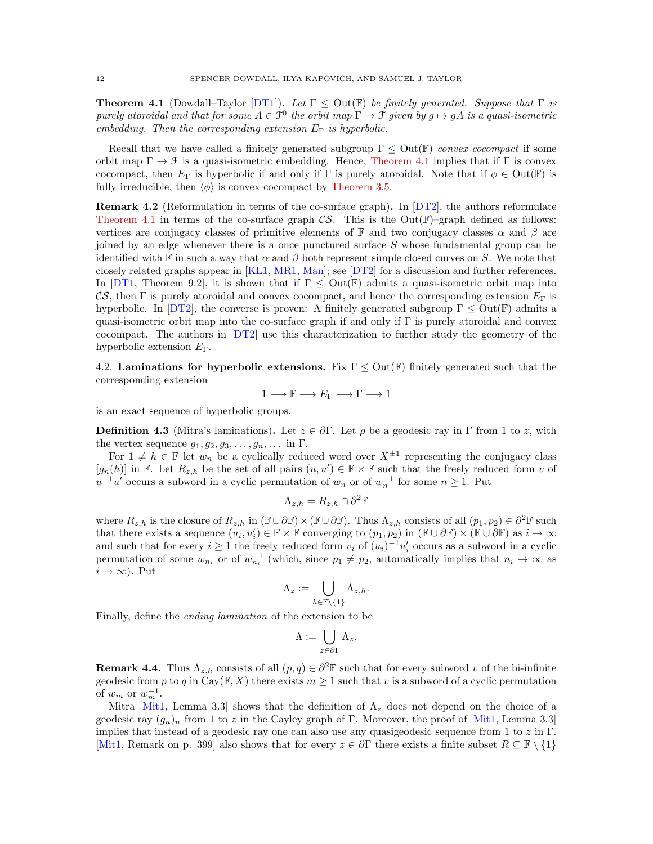<span id="page-11-1"></span>**Theorem 4.1** (Dowdall–Taylor [\[DT1\]](#page-24-0)). Let  $\Gamma \leq$  Out( $\mathbb{F}$ ) be finitely generated. Suppose that  $\Gamma$  is purely atoroidal and that for some  $A \in \mathcal{F}^0$  the orbit map  $\Gamma \to \mathcal{F}$  given by  $g \mapsto gA$  is a quasi-isometric embedding. Then the corresponding extension  $E_{\Gamma}$  is hyperbolic.

Recall that we have called a finitely generated subgroup  $\Gamma \leq Out(\mathbb{F})$  convex cocompact if some orbit map  $\Gamma \to \mathcal{F}$  is a quasi-isometric embedding. Hence, [Theorem 4.1](#page-11-1) implies that if  $\Gamma$  is convex cocompact, then  $E_{\Gamma}$  is hyperbolic if and only if  $\Gamma$  is purely atoroidal. Note that if  $\phi \in Out(\mathbb{F})$  is fully irreducible, then  $\langle \phi \rangle$  is convex cocompact by [Theorem 3.5.](#page-7-0)

**Remark 4.2** (Reformulation in terms of the co-surface graph). In  $DT2$ , the authors reformulate [Theorem 4.1](#page-11-1) in terms of the co-surface graph  $\mathcal{CS}$ . This is the Out(F)–graph defined as follows: vertices are conjugacy classes of primitive elements of F and two conjugacy classes  $\alpha$  and  $\beta$  are joined by an edge whenever there is a once punctured surface S whose fundamental group can be identified with F in such a way that  $\alpha$  and  $\beta$  both represent simple closed curves on S. We note that closely related graphs appear in [\[KL1,](#page-25-16) [MR1,](#page-25-21) [Man\]](#page-25-22); see [\[DT2\]](#page-24-14) for a discussion and further references. In [\[DT1,](#page-24-0) Theorem 9.2], it is shown that if  $\Gamma \leq$  Out(F) admits a quasi-isometric orbit map into CS, then Γ is purely atoroidal and convex cocompact, and hence the corresponding extension  $E_{\Gamma}$  is hyperbolic. In [\[DT2\]](#page-24-14), the converse is proven: A finitely generated subgroup  $\Gamma \leq Out(\mathbb{F})$  admits a quasi-isometric orbit map into the co-surface graph if and only if  $\Gamma$  is purely atoroidal and convex cocompact. The authors in [\[DT2\]](#page-24-14) use this characterization to further study the geometry of the hyperbolic extension  $E_{\Gamma}$ .

4.2. Laminations for hyperbolic extensions. Fix  $\Gamma \leq \text{Out}(\mathbb{F})$  finitely generated such that the corresponding extension

 $1 \longrightarrow \mathbb{F} \longrightarrow E_{\Gamma} \longrightarrow \Gamma \longrightarrow 1$ 

is an exact sequence of hyperbolic groups.

<span id="page-11-0"></span>**Definition 4.3** (Mitra's laminations). Let  $z \in \partial \Gamma$ . Let  $\rho$  be a geodesic ray in  $\Gamma$  from 1 to z, with the vertex sequence  $g_1, g_2, g_3, \ldots, g_n, \ldots$  in  $\Gamma$ .

For  $1 \neq h \in \mathbb{F}$  let  $w_n$  be a cyclically reduced word over  $X^{\pm 1}$  representing the conjugacy class  $[g_n(h)]$  in F. Let  $R_{z,h}$  be the set of all pairs  $(u, u') \in \mathbb{F} \times \mathbb{F}$  such that the freely reduced form v of  $u^{-1}u'$  occurs a subword in a cyclic permutation of  $w_n$  or of  $w_n^{-1}$  for some  $n \geq 1$ . Put

$$
\Lambda_{z,h} = \overline{R_{z,h}} \cap \partial^2 \mathbb{F}
$$

where  $\overline{R_{z,h}}$  is the closure of  $R_{z,h}$  in  $(\mathbb{F}\cup\partial\mathbb{F})\times(\mathbb{F}\cup\partial\mathbb{F})$ . Thus  $\Lambda_{z,h}$  consists of all  $(p_1, p_2) \in \partial^2 \mathbb{F}$  such that there exists a sequence  $(u_i, u'_i) \in \mathbb{F} \times \mathbb{F}$  converging to  $(p_1, p_2)$  in  $(\mathbb{F} \cup \partial \mathbb{F}) \times (\mathbb{F} \cup \partial \mathbb{F})$  as  $i \to \infty$ and such that for every  $i \geq 1$  the freely reduced form  $v_i$  of  $(u_i)^{-1}u'_i$  occurs as a subword in a cyclic permutation of some  $w_{n_i}$  or of  $w_{n_i}^{-1}$  (which, since  $p_1 \neq p_2$ , automatically implies that  $n_i \to \infty$  as  $i \to \infty$ ). Put

$$
\Lambda_z:=\bigcup_{h\in\mathbb{F}\backslash\{1\}}\Lambda_{z,h}.
$$

Finally, define the ending lamination of the extension to be

$$
\Lambda := \bigcup_{z \in \partial \Gamma} \Lambda_z.
$$

<span id="page-11-2"></span>**Remark 4.4.** Thus  $\Lambda_{z,h}$  consists of all  $(p,q) \in \partial^2 \mathbb{F}$  such that for every subword v of the bi-infinite geodesic from p to q in  $\text{Cay}(\mathbb{F}, X)$  there exists  $m \geq 1$  such that v is a subword of a cyclic permutation of  $w_m$  or  $w_m^{-1}$ .

Mitra [\[Mit1,](#page-25-15) Lemma 3.3] shows that the definition of  $\Lambda_z$  does not depend on the choice of a geodesic ray  $(g_n)_n$  from 1 to z in the Cayley graph of Γ. Moreover, the proof of [\[Mit1,](#page-25-15) Lemma 3.3] implies that instead of a geodesic ray one can also use any quasigeodesic sequence from 1 to  $z$  in  $\Gamma$ . [\[Mit1,](#page-25-15) Remark on p. 399] also shows that for every  $z \in \partial \Gamma$  there exists a finite subset  $R \subseteq \mathbb{F} \setminus \{1\}$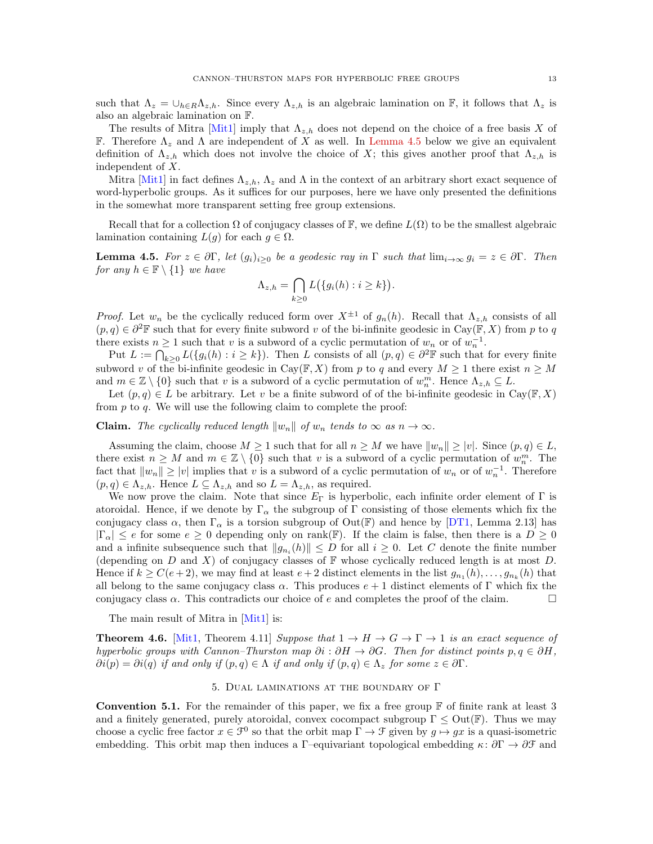such that  $\Lambda_z = \bigcup_{h \in R} \Lambda_{z,h}$ . Since every  $\Lambda_{z,h}$  is an algebraic lamination on F, it follows that  $\Lambda_z$  is also an algebraic lamination on F.

The results of Mitra [\[Mit1\]](#page-25-15) imply that  $\Lambda_{z,h}$  does not depend on the choice of a free basis X of F. Therefore  $\Lambda_z$  and  $\Lambda$  are independent of X as well. In [Lemma 4.5](#page-12-2) below we give an equivalent definition of  $\Lambda_{z,h}$  which does not involve the choice of X; this gives another proof that  $\Lambda_{z,h}$  is independent of X.

Mitra [\[Mit1\]](#page-25-15) in fact defines  $\Lambda_{z,h}$ ,  $\Lambda_z$  and  $\Lambda$  in the context of an arbitrary short exact sequence of word-hyperbolic groups. As it suffices for our purposes, here we have only presented the definitions in the somewhat more transparent setting free group extensions.

Recall that for a collection  $\Omega$  of conjugacy classes of F, we define  $L(\Omega)$  to be the smallest algebraic lamination containing  $L(g)$  for each  $g \in \Omega$ .

<span id="page-12-2"></span>**Lemma 4.5.** For  $z \in \partial \Gamma$ , let  $(g_i)_{i\geq 0}$  be a geodesic ray in  $\Gamma$  such that  $\lim_{i\to\infty} g_i = z \in \partial \Gamma$ . Then for any  $h \in \mathbb{F} \setminus \{1\}$  we have

$$
\Lambda_{z,h} = \bigcap_{k \ge 0} L\big(\{g_i(h) : i \ge k\}\big)
$$

.

*Proof.* Let  $w_n$  be the cyclically reduced form over  $X^{\pm 1}$  of  $g_n(h)$ . Recall that  $\Lambda_{z,h}$  consists of all  $(p, q) \in \partial^2 \mathbb{F}$  such that for every finite subword v of the bi-infinite geodesic in Cay( $\mathbb{F}, X$ ) from p to q there exists  $n \geq 1$  such that v is a subword of a cyclic permutation of  $w_n$  or of  $w_n^{-1}$ .

Put  $L := \bigcap_{k \geq 0} L(\{g_i(h) : i \geq k\})$ . Then L consists of all  $(p, q) \in \partial^2 \mathbb{F}$  such that for every finite subword v of the bi-infinite geodesic in Cay( $\mathbb{F}, X$ ) from p to q and every  $M \geq 1$  there exist  $n \geq M$ and  $m \in \mathbb{Z} \setminus \{0\}$  such that v is a subword of a cyclic permutation of  $w_n^m$ . Hence  $\Lambda_{z,h} \subseteq L$ .

Let  $(p, q) \in L$  be arbitrary. Let v be a finite subword of of the bi-infinite geodesic in  $Cav(\mathbb{F}, X)$ from  $p$  to  $q$ . We will use the following claim to complete the proof:

**Claim.** The cyclically reduced length  $||w_n||$  of  $w_n$  tends to  $\infty$  as  $n \to \infty$ .

Assuming the claim, choose  $M \geq 1$  such that for all  $n \geq M$  we have  $||w_n|| \geq |v|$ . Since  $(p, q) \in L$ , there exist  $n \geq M$  and  $m \in \mathbb{Z} \setminus \{0\}$  such that v is a subword of a cyclic permutation of  $w_n^m$ . The fact that  $||w_n|| \ge |v|$  implies that v is a subword of a cyclic permutation of  $w_n$  or of  $w_n^{-1}$ . Therefore  $(p, q) \in \Lambda_{z,h}$ . Hence  $L \subseteq \Lambda_{z,h}$  and so  $L = \Lambda_{z,h}$ , as required.

We now prove the claim. Note that since  $E_{\Gamma}$  is hyperbolic, each infinite order element of  $\Gamma$  is atoroidal. Hence, if we denote by  $\Gamma_{\alpha}$  the subgroup of  $\Gamma$  consisting of those elements which fix the conjugacy class  $\alpha$ , then  $\Gamma_{\alpha}$  is a torsion subgroup of Out(F) and hence by [\[DT1,](#page-24-0) Lemma 2.13] has  $|\Gamma_{\alpha}| \leq e$  for some  $e \geq 0$  depending only on rank(F). If the claim is false, then there is a  $D \geq 0$ and a infinite subsequence such that  $||g_{n_i}(h)|| \leq D$  for all  $i \geq 0$ . Let C denote the finite number (depending on D and X) of conjugacy classes of  $\mathbb F$  whose cyclically reduced length is at most D. Hence if  $k \geq C(e+2)$ , we may find at least  $e+2$  distinct elements in the list  $g_{n_1}(h), \ldots, g_{n_k}(h)$  that all belong to the same conjugacy class  $\alpha$ . This produces  $e + 1$  distinct elements of Γ which fix the conjugacy class  $\alpha$ . This contradicts our choice of e and completes the proof of the claim.

The main result of Mitra in [\[Mit1\]](#page-25-15) is:

<span id="page-12-0"></span>**Theorem 4.6.** [\[Mit1,](#page-25-15) Theorem 4.11] Suppose that  $1 \to H \to G \to \Gamma \to 1$  is an exact sequence of hyperbolic groups with Cannon–Thurston map  $\partial i : \partial H \to \partial G$ . Then for distinct points p,  $q \in \partial H$ ,  $\partial i(p) = \partial i(q)$  if and only if  $(p, q) \in \Lambda$  if and only if  $(p, q) \in \Lambda_z$  for some  $z \in \partial \Gamma$ .

## 5. Dual laminations at the boundary of Γ

<span id="page-12-3"></span><span id="page-12-1"></span>**Convention 5.1.** For the remainder of this paper, we fix a free group  $\mathbb{F}$  of finite rank at least 3 and a finitely generated, purely atoroidal, convex cocompact subgroup  $\Gamma \leq Out(\mathbb{F})$ . Thus we may choose a cyclic free factor  $x \in \mathcal{F}^0$  so that the orbit map  $\Gamma \to \mathcal{F}$  given by  $g \mapsto gx$  is a quasi-isometric embedding. This orbit map then induces a Γ–equivariant topological embedding  $\kappa: \partial \Gamma \to \partial \mathcal{F}$  and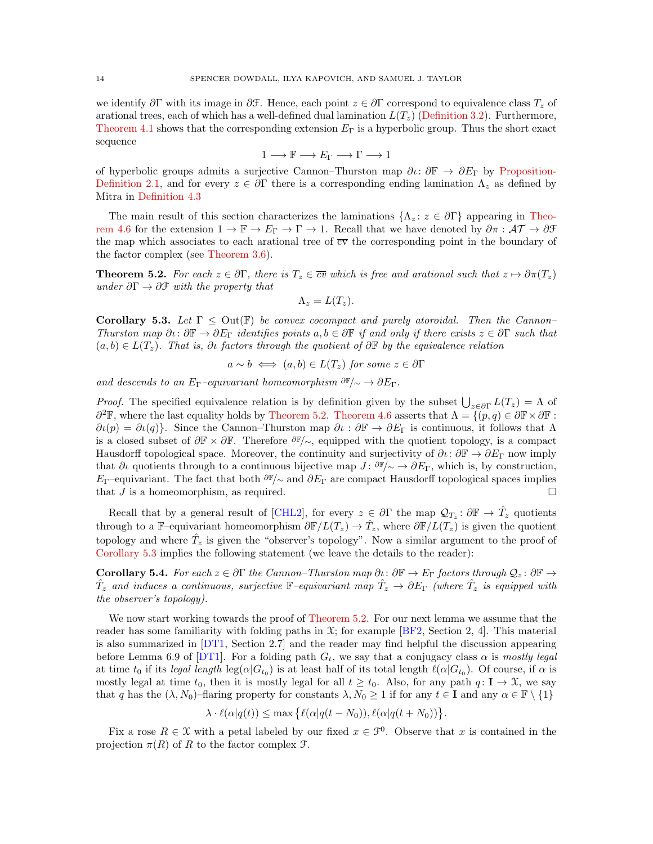we identify  $\partial \Gamma$  with its image in  $\partial \mathcal{F}$ . Hence, each point  $z \in \partial \Gamma$  correspond to equivalence class  $T_z$  of arational trees, each of which has a well-defined dual lamination  $L(T_z)$  [\(Definition 3.2\)](#page-7-1). Furthermore, [Theorem 4.1](#page-11-1) shows that the corresponding extension  $E_{\Gamma}$  is a hyperbolic group. Thus the short exact sequence

$$
1 \longrightarrow \mathbb{F} \longrightarrow E_{\Gamma} \longrightarrow \Gamma \longrightarrow 1
$$

of hyperbolic groups admits a surjective Cannon–Thurston map  $\partial\iota\colon\partial\mathbb{F}\to\partial E_{\Gamma}$  by [Proposition-](#page-4-0)[Definition 2.1,](#page-4-0) and for every  $z \in \partial \Gamma$  there is a corresponding ending lamination  $\Lambda_z$  as defined by Mitra in [Definition 4.3](#page-11-0)

The main result of this section characterizes the laminations  $\{\Lambda_z : z \in \partial \Gamma\}$  appearing in [Theo](#page-12-0)[rem 4.6](#page-12-0) for the extension  $1 \to \mathbb{F} \to E_{\Gamma} \to \Gamma \to 1$ . Recall that we have denoted by  $\partial \pi : \mathcal{AT} \to \partial \mathcal{F}$ the map which associates to each arational tree of  $\overline{cv}$  the corresponding point in the boundary of the factor complex (see [Theorem 3.6\)](#page-7-2).

<span id="page-13-0"></span>**Theorem 5.2.** For each  $z \in \partial \Gamma$ , there is  $T_z \in \overline{cv}$  which is free and arational such that  $z \mapsto \partial \pi(T_z)$ under  $\partial \Gamma \to \partial \mathcal{F}$  with the property that

$$
\Lambda_z = L(T_z).
$$

<span id="page-13-1"></span>Corollary 5.3. Let  $\Gamma \leq$  Out( $\mathbb{F}$ ) be convex cocompact and purely atoroidal. Then the Cannon-Thurston map  $\partial\iota\colon\partial\mathbb{F}\to\partial E_\Gamma$  identifies points  $a,b\in\partial\mathbb{F}$  if and only if there exists  $z\in\partial\Gamma$  such that  $(a, b) \in L(T_z)$ . That is,  $\partial \iota$  factors through the quotient of  $\partial \mathbb{F}$  by the equivalence relation

 $a \sim b \iff (a, b) \in L(T_z)$  for some  $z \in \partial \Gamma$ 

and descends to an  $E_{\Gamma}$ –equivariant homeomorphism  $\partial \mathbb{F}/{\sim} \to \partial E_{\Gamma}$ .

*Proof.* The specified equivalence relation is by definition given by the subset  $\bigcup_{z \in \partial \Gamma} L(T_z) = \Lambda$  of  $\partial^2 \mathbb{F}$ , where the last equality holds by [Theorem 5.2.](#page-13-0) [Theorem 4.6](#page-12-0) asserts that  $\Lambda = \{ (p, q) \in \partial \mathbb{F} \times \partial \mathbb{F} :$  $\partial \iota(p) = \partial \iota(q)$ . Since the Cannon–Thurston map  $\partial \iota : \partial \mathbb{F} \to \partial E_{\Gamma}$  is continuous, it follows that  $\Lambda$ is a closed subset of  $\partial \mathbb{F} \times \partial \mathbb{F}$ . Therefore  $\partial \mathbb{F}/\sim$ , equipped with the quotient topology, is a compact Hausdorff topological space. Moreover, the continuity and surjectivity of  $\partial \iota : \partial \mathbb{F} \to \partial E_{\Gamma}$  now imply that  $\partial\iota$  quotients through to a continuous bijective map  $J: \partial\mathbb{F}/\sim \to \partial E_{\Gamma}$ , which is, by construction, E<sub>Γ</sub>–equivariant. The fact that both  $\partial F/\sim$  and  $\partial F$ <sub>Γ</sub> are compact Hausdorff topological spaces implies that J is a homeomorphism, as required.  $\square$ 

Recall that by a general result of [\[CHL2\]](#page-24-28), for every  $z \in \partial \Gamma$  the map  $\mathcal{Q}_{T_z} : \partial \mathbb{F} \to \hat{T}_z$  quotients through to a F–equivariant homeomorphism  $\partial \mathbb{F}/L(T_z) \to \hat{T}_z$ , where  $\partial \mathbb{F}/L(T_z)$  is given the quotient topology and where  $\hat{T}_z$  is given the "observer's topology". Now a similar argument to the proof of [Corollary 5.3](#page-13-1) implies the following statement (we leave the details to the reader):

**Corollary 5.4.** For each  $z \in \partial \Gamma$  the Cannon–Thurston map  $\partial \iota : \partial \mathbb{F} \to E_{\Gamma}$  factors through  $\mathcal{Q}_z : \partial \mathbb{F} \to E_{\Gamma}$  $\hat{T}_z$  and induces a continuous, surjective  $\mathbb{F}-$ equivariant map  $\hat{T}_z \to \partial E_\Gamma$  (where  $\hat{T}_z$  is equipped with the observer's topology).

We now start working towards the proof of [Theorem 5.2.](#page-13-0) For our next lemma we assume that the reader has some familiarity with folding paths in  $\mathfrak{X}$ ; for example [\[BF2,](#page-24-8) Section 2, 4]. This material is also summarized in [\[DT1,](#page-24-0) Section 2.7] and the reader may find helpful the discussion appearing before Lemma 6.9 of [\[DT1\]](#page-24-0). For a folding path  $G_t$ , we say that a conjugacy class  $\alpha$  is mostly legal at time  $t_0$  if its legal length  $\log(\alpha|G_{t_0})$  is at least half of its total length  $\ell(\alpha|G_{t_0})$ . Of course, if  $\alpha$  is mostly legal at time  $t_0$ , then it is mostly legal for all  $t \geq t_0$ . Also, for any path  $q: I \to \mathfrak{X}$ , we say that q has the  $(\lambda, N_0)$ –flaring property for constants  $\lambda, N_0 \geq 1$  if for any  $t \in I$  and any  $\alpha \in \mathbb{F} \setminus \{1\}$ 

$$
\lambda \cdot \ell(\alpha|q(t)) \le \max\left\{ \ell(\alpha|q(t - N_0)), \ell(\alpha|q(t + N_0)) \right\}
$$

.

<span id="page-13-2"></span>Fix a rose  $R \in \mathfrak{X}$  with a petal labeled by our fixed  $x \in \mathfrak{I}^0$ . Observe that x is contained in the projection  $\pi(R)$  of R to the factor complex  $\mathfrak{F}$ .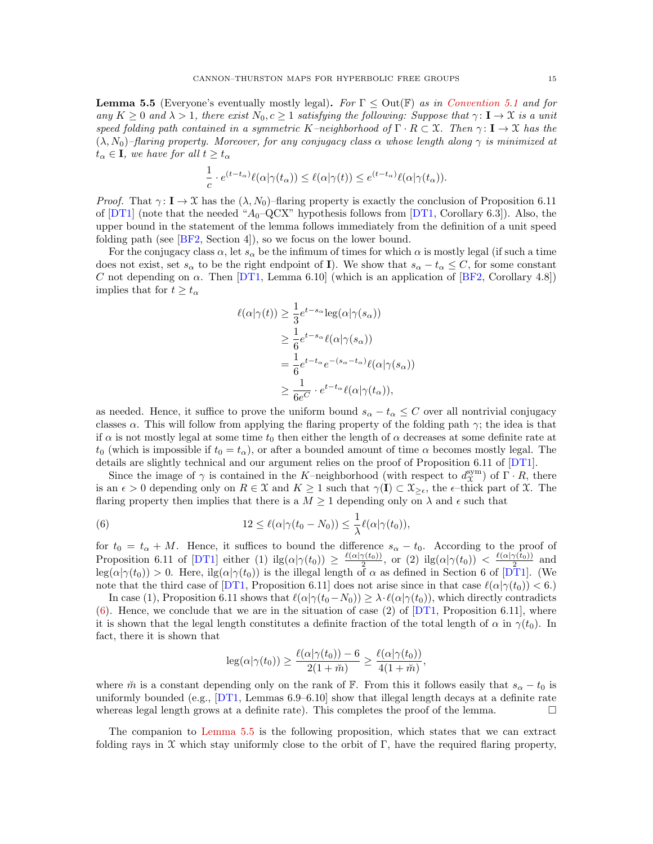**Lemma 5.5** (Everyone's eventually mostly legal). For  $\Gamma \leq$  Out( $\mathbb{F}$ ) as in [Convention 5.1](#page-12-3) and for any  $K \geq 0$  and  $\lambda > 1$ , there exist  $N_0, c \geq 1$  satisfying the following: Suppose that  $\gamma: \mathbf{I} \to \mathcal{X}$  is a unit speed folding path contained in a symmetric K–neighborhood of  $\Gamma \cdot R \subset \mathfrak{X}$ . Then  $\gamma: \mathbf{I} \to \mathfrak{X}$  has the  $(\lambda, N_0)$ –flaring property. Moreover, for any conjugacy class  $\alpha$  whose length along  $\gamma$  is minimized at  $t_{\alpha} \in I$ , we have for all  $t \geq t_{\alpha}$ 

$$
\frac{1}{c} \cdot e^{(t-t_{\alpha})} \ell(\alpha | \gamma(t_{\alpha})) \leq \ell(\alpha | \gamma(t)) \leq e^{(t-t_{\alpha})} \ell(\alpha | \gamma(t_{\alpha})).
$$

*Proof.* That  $\gamma: I \to \mathcal{X}$  has the  $(\lambda, N_0)$ -flaring property is exactly the conclusion of Proposition 6.11 of  $DT1$  (note that the needed " $A_0$ -QCX" hypothesis follows from  $DT1$ , Corollary 6.3]). Also, the upper bound in the statement of the lemma follows immediately from the definition of a unit speed folding path (see [\[BF2,](#page-24-8) Section 4]), so we focus on the lower bound.

For the conjugacy class  $\alpha$ , let  $s_{\alpha}$  be the infimum of times for which  $\alpha$  is mostly legal (if such a time does not exist, set  $s_\alpha$  to be the right endpoint of **I**). We show that  $s_\alpha - t_\alpha \leq C$ , for some constant C not depending on  $\alpha$ . Then [\[DT1,](#page-24-0) Lemma 6.10] (which is an application of [\[BF2,](#page-24-8) Corollary 4.8]) implies that for  $t \geq t_{\alpha}$ 

$$
\ell(\alpha|\gamma(t)) \ge \frac{1}{3} e^{t-s_{\alpha}} \log(\alpha|\gamma(s_{\alpha}))
$$
  
\n
$$
\ge \frac{1}{6} e^{t-s_{\alpha}} \ell(\alpha|\gamma(s_{\alpha}))
$$
  
\n
$$
= \frac{1}{6} e^{t-t_{\alpha}} e^{-(s_{\alpha}-t_{\alpha})} \ell(\alpha|\gamma(s_{\alpha}))
$$
  
\n
$$
\ge \frac{1}{6e^{C}} \cdot e^{t-t_{\alpha}} \ell(\alpha|\gamma(t_{\alpha})),
$$

as needed. Hence, it suffice to prove the uniform bound  $s_{\alpha} - t_{\alpha} \leq C$  over all nontrivial conjugacy classes  $\alpha$ . This will follow from applying the flaring property of the folding path  $\gamma$ ; the idea is that if  $\alpha$  is not mostly legal at some time  $t_0$  then either the length of  $\alpha$  decreases at some definite rate at  $t_0$  (which is impossible if  $t_0 = t_\alpha$ ), or after a bounded amount of time  $\alpha$  becomes mostly legal. The details are slightly technical and our argument relies on the proof of Proposition 6.11 of [\[DT1\]](#page-24-0).

Since the image of  $\gamma$  is contained in the K–neighborhood (with respect to  $d_{\chi}^{\text{sym}}$ ) of  $\Gamma \cdot R$ , there is an  $\epsilon > 0$  depending only on  $R \in \mathfrak{X}$  and  $K \geq 1$  such that  $\gamma(I) \subset \mathfrak{X}_{\geq \epsilon}$ , the  $\epsilon$ -thick part of  $\mathfrak{X}$ . The flaring property then implies that there is a  $M \geq 1$  depending only on  $\lambda$  and  $\epsilon$  such that

<span id="page-14-0"></span>(6) 
$$
12 \leq \ell(\alpha|\gamma(t_0 - N_0)) \leq \frac{1}{\lambda}\ell(\alpha|\gamma(t_0)),
$$

for  $t_0 = t_\alpha + M$ . Hence, it suffices to bound the difference  $s_\alpha - t_0$ . According to the proof of Proposition 6.11 of [\[DT1\]](#page-24-0) either (1)  $\text{lig}(\alpha|\gamma(t_0)) \geq \frac{\ell(\alpha|\gamma(t_0))}{2}$ , or (2)  $\text{lig}(\alpha|\gamma(t_0)) < \frac{\ell(\alpha|\gamma(t_0))}{2}$  and  $\log(\alpha|\gamma(t_0)) > 0$ . Here,  $\log(\alpha|\gamma(t_0))$  is the illegal length of  $\alpha$  as defined in Section 6 of  $[\mathcal{DT}1]$ . (We note that the third case of [\[DT1,](#page-24-0) Proposition 6.11] does not arise since in that case  $\ell(\alpha|\gamma(t_0)) < 6$ .

In case (1), Proposition 6.11 shows that  $\ell(\alpha|\gamma(t_0-N_0)) \geq \lambda \cdot \ell(\alpha|\gamma(t_0))$ , which directly contradicts  $(6)$ . Hence, we conclude that we are in the situation of case (2) of  $[DT1,$  Proposition 6.11], where it is shown that the legal length constitutes a definite fraction of the total length of  $\alpha$  in  $\gamma(t_0)$ . In fact, there it is shown that

$$
\log(\alpha|\gamma(t_0)) \ge \frac{\ell(\alpha|\gamma(t_0)) - 6}{2(1 + \breve{m})} \ge \frac{\ell(\alpha|\gamma(t_0))}{4(1 + \breve{m})},
$$

where  $\tilde{m}$  is a constant depending only on the rank of F. From this it follows easily that  $s_{\alpha} - t_0$  is uniformly bounded (e.g.,  $[DT1,$  Lemmas 6.9–6.10] show that illegal length decays at a definite rate whereas legal length grows at a definite rate). This completes the proof of the lemma.  $\Box$ 

The companion to [Lemma 5.5](#page-13-2) is the following proposition, which states that we can extract folding rays in  $\mathfrak X$  which stay uniformly close to the orbit of Γ, have the required flaring property,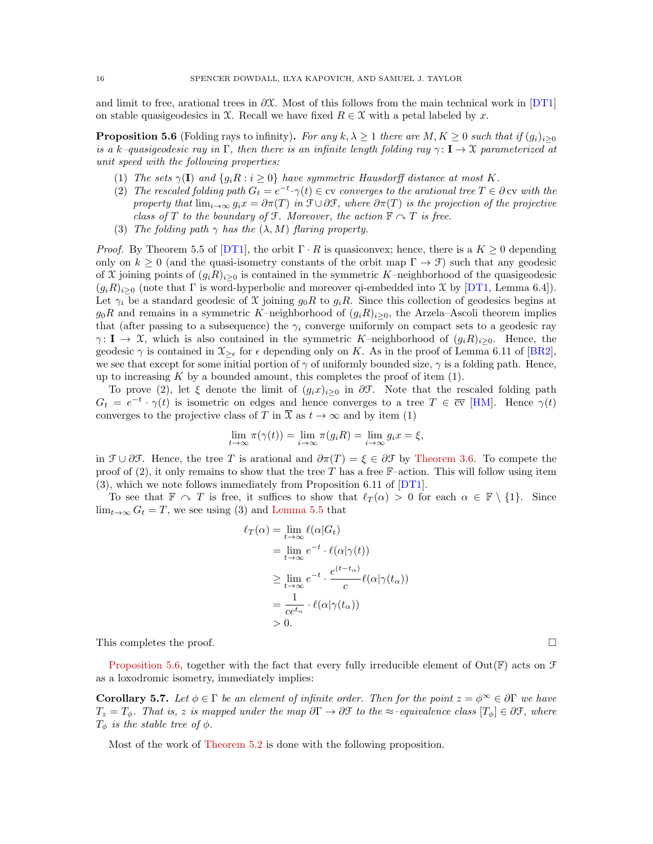and limit to free, arational trees in  $\partial \mathfrak{X}$ . Most of this follows from the main technical work in [\[DT1\]](#page-24-0) on stable quasigeodesics in X. Recall we have fixed  $R \in \mathcal{X}$  with a petal labeled by x.

<span id="page-15-1"></span>**Proposition 5.6** (Folding rays to infinity). For any  $k, \lambda \geq 1$  there are  $M, K \geq 0$  such that if  $(g_i)_{i\geq 0}$ is a k–quasigeodesic ray in Γ, then there is an infinite length folding ray  $\gamma : I \to \mathfrak{X}$  parameterized at unit speed with the following properties:

- (1) The sets  $\gamma(\mathbf{I})$  and  $\{g_i \mathbf{R} : i \geq 0\}$  have symmetric Hausdorff distance at most K.
- (2) The rescaled folding path  $G_t = e^{-t} \cdot \gamma(t) \in \text{cv}$  converges to the arational tree  $T \in \partial \text{cv}$  with the property that  $\lim_{i\to\infty} g_i x = \partial \pi(T)$  in  $\mathfrak{F} \cup \partial \mathfrak{F}$ , where  $\partial \pi(T)$  is the projection of the projective class of T to the boundary of F. Moreover, the action  $\mathbb{F} \cap T$  is free.
- (3) The folding path  $\gamma$  has the  $(\lambda, M)$  flaring property.

*Proof.* By Theorem 5.5 of [\[DT1\]](#page-24-0), the orbit  $\Gamma \cdot R$  is quasiconvex; hence, there is a  $K \geq 0$  depending only on  $k \geq 0$  (and the quasi-isometry constants of the orbit map  $\Gamma \to \mathcal{F}$ ) such that any geodesic of X joining points of  $(g_iR)_{i>0}$  is contained in the symmetric K–neighborhood of the quasigeodesic  $(g_iR)_{i>0}$  (note that  $\Gamma$  is word-hyperbolic and moreover qi-embedded into  $\mathfrak X$  by [\[DT1,](#page-24-0) Lemma 6.4]). Let  $\gamma_i$  be a standard geodesic of X joining  $g_0R$  to  $g_iR$ . Since this collection of geodesics begins at  $g_0R$  and remains in a symmetric K–neighborhood of  $(g_iR)_{i>0}$ , the Arzela–Ascoli theorem implies that (after passing to a subsequence) the  $\gamma_i$  converge uniformly on compact sets to a geodesic ray  $\gamma: I \to X$ , which is also contained in the symmetric K–neighborhood of  $(g_iR)_{i>0}$ . Hence, the geodesic  $\gamma$  is contained in  $\mathfrak{X}_{\geq \epsilon}$  for  $\epsilon$  depending only on K. As in the proof of Lemma 6.11 of [\[BR2\]](#page-24-11), we see that except for some initial portion of  $\gamma$  of uniformly bounded size,  $\gamma$  is a folding path. Hence, up to increasing  $K$  by a bounded amount, this completes the proof of item  $(1)$ .

To prove (2), let  $\xi$  denote the limit of  $(g_ix)_{i\geq 0}$  in  $\partial \mathcal{F}$ . Note that the rescaled folding path  $G_t = e^{-t} \cdot \gamma(t)$  is isometric on edges and hence converges to a tree  $T \in \overline{cv}$  [\[HM\]](#page-24-29). Hence  $\gamma(t)$ converges to the projective class of T in  $\overline{\mathfrak{X}}$  as  $t \to \infty$  and by item (1)

$$
\lim_{t \to \infty} \pi(\gamma(t)) = \lim_{i \to \infty} \pi(g_i R) = \lim_{i \to \infty} g_i x = \xi,
$$

in  $\mathcal{F} \cup \partial \mathcal{F}$ . Hence, the tree T is arational and  $\partial \pi(T) = \xi \in \partial \mathcal{F}$  by [Theorem 3.6.](#page-7-2) To compete the proof of  $(2)$ , it only remains to show that the tree T has a free F–action. This will follow using item (3), which we note follows immediately from Proposition 6.11 of [\[DT1\]](#page-24-0).

To see that  $\mathbb{F} \cap T$  is free, it suffices to show that  $\ell(\alpha) > 0$  for each  $\alpha \in \mathbb{F} \setminus \{1\}$ . Since  $\lim_{t\to\infty} G_t = T$ , we see using (3) and [Lemma 5.5](#page-13-2) that

$$
\ell_T(\alpha) = \lim_{t \to \infty} \ell(\alpha | G_t)
$$
  
= 
$$
\lim_{t \to \infty} e^{-t} \cdot \ell(\alpha | \gamma(t))
$$
  

$$
\geq \lim_{t \to \infty} e^{-t} \cdot \frac{e^{(t - t_{\alpha})}}{c} \ell(\alpha | \gamma(t_{\alpha}))
$$
  
= 
$$
\frac{1}{ce^{t_{\alpha}}} \cdot \ell(\alpha | \gamma(t_{\alpha}))
$$
  
> 0.

This completes the proof.  $\Box$ 

[Proposition 5.6,](#page-15-1) together with the fact that every fully irreducible element of Out( $\mathbb{F}$ ) acts on  $\mathcal F$ as a loxodromic isometry, immediately implies:

<span id="page-15-2"></span>**Corollary 5.7.** Let  $\phi \in \Gamma$  be an element of infinite order. Then for the point  $z = \phi^{\infty} \in \partial \Gamma$  we have  $T_z = T_{\phi}$ . That is, z is mapped under the map  $\partial \Gamma \to \partial \mathcal{F}$  to the  $\approx$ –equivalence class  $[T_{\phi}] \in \partial \mathcal{F}$ , where  $T_{\phi}$  is the stable tree of  $\phi$ .

<span id="page-15-0"></span>Most of the work of [Theorem 5.2](#page-13-0) is done with the following proposition.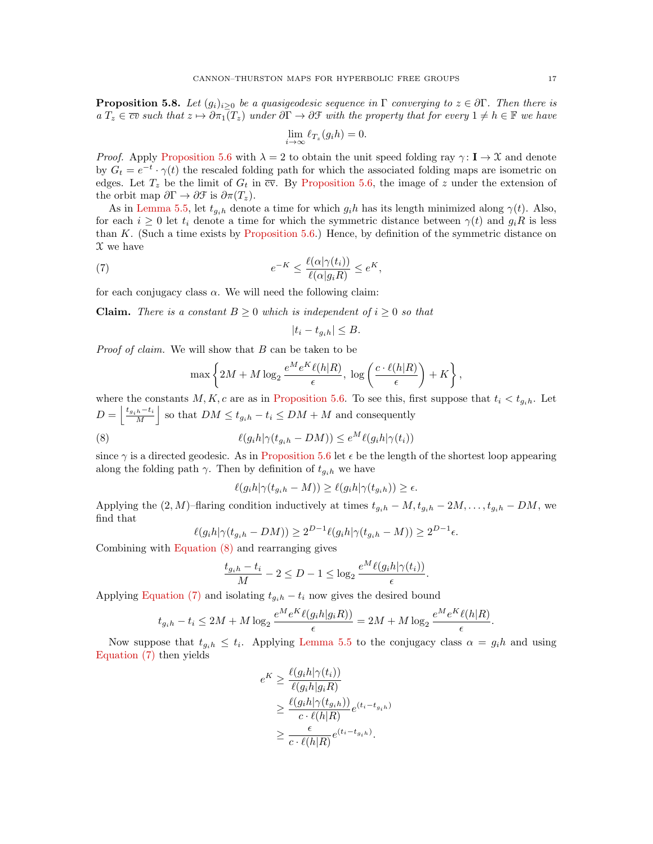**Proposition 5.8.** Let  $(g_i)_{i\geq 0}$  be a quasigeodesic sequence in  $\Gamma$  converging to  $z \in \partial \Gamma$ . Then there is  $a T_z \in \overline{cv}$  such that  $z \mapsto \partial \pi_1(T_z)$  under  $\partial \Gamma \to \partial \mathcal{F}$  with the property that for every  $1 \neq h \in \mathbb{F}$  we have

$$
\lim_{i \to \infty} \ell_{T_z}(g_i h) = 0.
$$

*Proof.* Apply [Proposition 5.6](#page-15-1) with  $\lambda = 2$  to obtain the unit speed folding ray  $\gamma : I \to \mathcal{X}$  and denote by  $G_t = e^{-t} \cdot \gamma(t)$  the rescaled folding path for which the associated folding maps are isometric on edges. Let  $T_z$  be the limit of  $G_t$  in  $\overline{cv}$ . By [Proposition 5.6,](#page-15-1) the image of z under the extension of the orbit map  $\partial \Gamma \to \partial \mathfrak{F}$  is  $\partial \pi(T_z)$ .

As in [Lemma 5.5,](#page-13-2) let  $t_{g_i h}$  denote a time for which  $g_i h$  has its length minimized along  $\gamma(t)$ . Also, for each  $i \geq 0$  let  $t_i$  denote a time for which the symmetric distance between  $\gamma(t)$  and  $g_iR$  is less than K. (Such a time exists by [Proposition 5.6.](#page-15-1)) Hence, by definition of the symmetric distance on  $\mathfrak X$  we have

<span id="page-16-1"></span>(7) 
$$
e^{-K} \leq \frac{\ell(\alpha|\gamma(t_i))}{\ell(\alpha|g_iR)} \leq e^{K},
$$

for each conjugacy class  $\alpha$ . We will need the following claim:

**Claim.** There is a constant  $B \geq 0$  which is independent of  $i \geq 0$  so that

$$
|t_i - t_{g_ih}| \le B.
$$

*Proof of claim.* We will show that  $B$  can be taken to be

$$
\max\left\{2M + M\log_2\frac{e^M e^K \ell(h|R)}{\epsilon}, \log\left(\frac{c \cdot \ell(h|R)}{\epsilon}\right) + K\right\},\right
$$

where the constants  $M, K, c$  are as in [Proposition 5.6.](#page-15-1) To see this, first suppose that  $t_i < t_{g_i h}$ . Let  $D = \left\lfloor \frac{t_{g_i h} - t_i}{M} \right\rfloor$  so that  $DM \leq t_{g_i h} - t_i \leq DM + M$  and consequently

(8) 
$$
\ell(g_i h | \gamma(t_{g_i h} - DM)) \leq e^M \ell(g_i h | \gamma(t_i))
$$

since  $\gamma$  is a directed geodesic. As in [Proposition 5.6](#page-15-1) let  $\epsilon$  be the length of the shortest loop appearing along the folding path  $\gamma$ . Then by definition of  $t_{g_i h}$  we have

<span id="page-16-0"></span>
$$
\ell(g_i h | \gamma(t_{g_i h} - M)) \ge \ell(g_i h | \gamma(t_{g_i h})) \ge \epsilon.
$$

Applying the  $(2, M)$ –flaring condition inductively at times  $t_{q_ih} - M$ ,  $t_{q_ih} - 2M$ , ...,  $t_{q_ih} - DM$ , we find that

$$
\ell(g_i h|\gamma(t_{g_i h} - DM)) \ge 2^{D-1}\ell(g_i h|\gamma(t_{g_i h} - M)) \ge 2^{D-1}\epsilon.
$$

Combining with [Equation \(8\)](#page-16-0) and rearranging gives

$$
\frac{t_{g_ih} - t_i}{M} - 2 \le D - 1 \le \log_2 \frac{e^M \ell(g_i h | \gamma(t_i))}{\epsilon}.
$$

Applying [Equation \(7\)](#page-16-1) and isolating  $t_{gih} - t_i$  now gives the desired bound

$$
t_{g_i h} - t_i \le 2M + M \log_2 \frac{e^M e^K \ell(g_i h | g_i R))}{\epsilon} = 2M + M \log_2 \frac{e^M e^K \ell(h | R)}{\epsilon}.
$$

Now suppose that  $t_{g_i h} \leq t_i$ . Applying [Lemma 5.5](#page-13-2) to the conjugacy class  $\alpha = g_i h$  and using [Equation \(7\)](#page-16-1) then yields

$$
e^K \geq \frac{\ell(g_i h | \gamma(t_i))}{\ell(g_i h | g_i R)}
$$
  
\n
$$
\geq \frac{\ell(g_i h | \gamma(t_{g_i h}))}{c \cdot \ell(h | R)} e^{(t_i - t_{g_i h})}
$$
  
\n
$$
\geq \frac{\epsilon}{c \cdot \ell(h | R)} e^{(t_i - t_{g_i h})}.
$$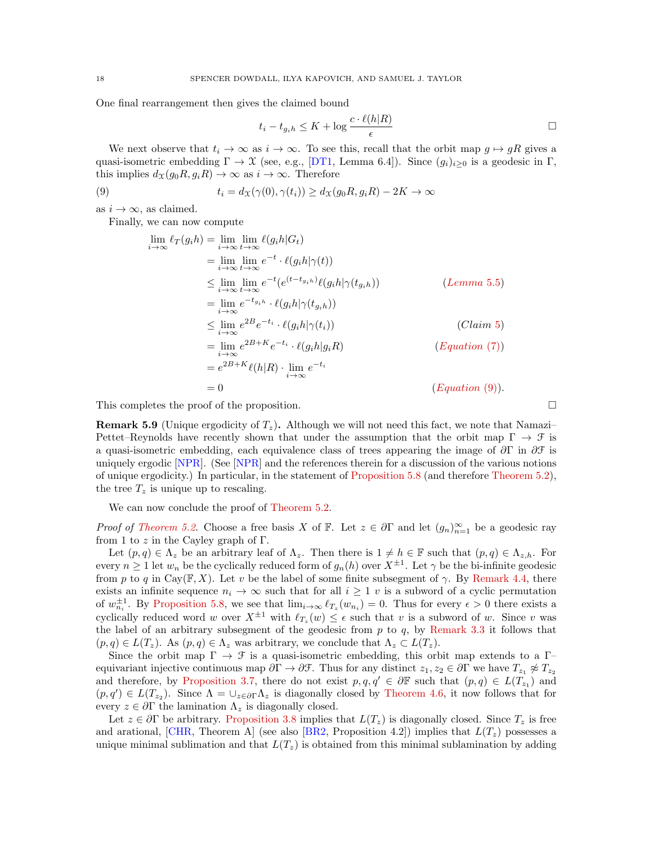One final rearrangement then gives the claimed bound

<span id="page-17-0"></span>
$$
t_i - t_{g_i h} \le K + \log \frac{c \cdot \ell(h|R)}{\epsilon}
$$

We next observe that  $t_i \to \infty$  as  $i \to \infty$ . To see this, recall that the orbit map  $g \mapsto gR$  gives a quasi-isometric embedding  $\Gamma \to \mathfrak{X}$  (see, e.g., [\[DT1,](#page-24-0) Lemma 6.4]). Since  $(g_i)_{i>0}$  is a geodesic in  $\Gamma$ , this implies  $d_{\mathfrak{X}}(g_0R, g_iR) \to \infty$  as  $i \to \infty$ . Therefore

(9) 
$$
t_i = d_{\mathcal{X}}(\gamma(0), \gamma(t_i)) \ge d_{\mathcal{X}}(g_0 R, g_i R) - 2K \to \infty
$$

as  $i \to \infty$ , as claimed.

Finally, we can now compute

$$
\lim_{i \to \infty} \ell_T(g_i h) = \lim_{i \to \infty} \lim_{t \to \infty} \ell(g_i h | G_t)
$$
\n
$$
= \lim_{i \to \infty} \lim_{t \to \infty} e^{-t} \cdot \ell(g_i h | \gamma(t))
$$
\n
$$
\leq \lim_{i \to \infty} \lim_{t \to \infty} e^{-t} (e^{(t - t_{g_i h})} \ell(g_i h | \gamma(t_{g_i h}))
$$
\n
$$
= \lim_{i \to \infty} e^{-t_{g_i h}} \cdot \ell(g_i h | \gamma(t_{g_i h}))
$$
\n
$$
\leq \lim_{i \to \infty} e^{2B} e^{-t_i} \cdot \ell(g_i h | \gamma(t_i))
$$
\n
$$
= \lim_{i \to \infty} e^{2B + K} e^{-t_i} \cdot \ell(g_i h | g_i R)
$$
\n
$$
= e^{2B + K} \ell(h | R) \cdot \lim_{i \to \infty} e^{-t_i}
$$
\n
$$
= 0
$$
\n
$$
(Equation (9)).
$$

This completes the proof of the proposition.  $\Box$ 

**Remark 5.9** (Unique ergodicity of  $T<sub>z</sub>$ ). Although we will not need this fact, we note that Namazi-Pettet–Reynolds have recently shown that under the assumption that the orbit map  $\Gamma \to \mathcal{F}$  is a quasi-isometric embedding, each equivalence class of trees appearing the image of  $\partial \Gamma$  in  $\partial \mathcal{F}$  is uniquely ergodic [\[NPR\]](#page-25-23). (See [\[NPR\]](#page-25-23) and the references therein for a discussion of the various notions of unique ergodicity.) In particular, in the statement of [Proposition 5.8](#page-15-0) (and therefore [Theorem 5.2\)](#page-13-0), the tree  $T_z$  is unique up to rescaling.

We can now conclude the proof of [Theorem 5.2.](#page-13-0)

*Proof of [Theorem 5.2.](#page-13-0)* Choose a free basis X of F. Let  $z \in \partial \Gamma$  and let  $(g_n)_{n=1}^{\infty}$  be a geodesic ray from 1 to  $z$  in the Cayley graph of  $\Gamma$ .

Let  $(p, q) \in \Lambda_z$  be an arbitrary leaf of  $\Lambda_z$ . Then there is  $1 \neq h \in \mathbb{F}$  such that  $(p, q) \in \Lambda_{z,h}$ . For every  $n \geq 1$  let  $w_n$  be the cyclically reduced form of  $g_n(h)$  over  $X^{\pm 1}$ . Let  $\gamma$  be the bi-infinite geodesic from p to q in Cay( $\mathbb{F}, X$ ). Let v be the label of some finite subsegment of  $\gamma$ . By [Remark 4.4,](#page-11-2) there exists an infinite sequence  $n_i \to \infty$  such that for all  $i \geq 1$  v is a subword of a cyclic permutation of  $w_{n_i}^{\pm 1}$ . By [Proposition 5.8,](#page-15-0) we see that  $\lim_{i\to\infty} \ell_{T_z}(w_{n_i}) = 0$ . Thus for every  $\epsilon > 0$  there exists a cyclically reduced word w over  $X^{\pm 1}$  with  $\ell_{T_z}(w) \leq \epsilon$  such that v is a subword of w. Since v was the label of an arbitrary subsegment of the geodesic from  $p$  to  $q$ , by [Remark 3.3](#page-7-3) it follows that  $(p, q) \in L(T_z)$ . As  $(p, q) \in \Lambda_z$  was arbitrary, we conclude that  $\Lambda_z \subset L(T_z)$ .

Since the orbit map  $\Gamma \to \mathcal{F}$  is a quasi-isometric embedding, this orbit map extends to a  $\Gamma$ equivariant injective continuous map  $\partial \Gamma \to \partial \mathcal{F}$ . Thus for any distinct  $z_1, z_2 \in \partial \Gamma$  we have  $T_{z_1} \not\approx T_{z_2}$ and therefore, by [Proposition 3.7,](#page-8-1) there do not exist  $p, q, q' \in \partial \mathbb{F}$  such that  $(p, q) \in L(T_{z_1})$  and  $(p,q') \in L(T_{z_2})$ . Since  $\Lambda = \cup_{z \in \partial \Gamma} \Lambda_z$  is diagonally closed by [Theorem 4.6,](#page-12-0) it now follows that for every  $z \in \partial \Gamma$  the lamination  $\Lambda_z$  is diagonally closed.

Let  $z \in \partial \Gamma$  be arbitrary. [Proposition 3.8](#page-8-3) implies that  $L(T_z)$  is diagonally closed. Since  $T_z$  is free and arational, [\[CHR,](#page-24-26) Theorem A] (see also [\[BR2,](#page-24-11) Proposition 4.2]) implies that  $L(T_z)$  possesses a unique minimal sublimation and that  $L(T_z)$  is obtained from this minimal sublamination by adding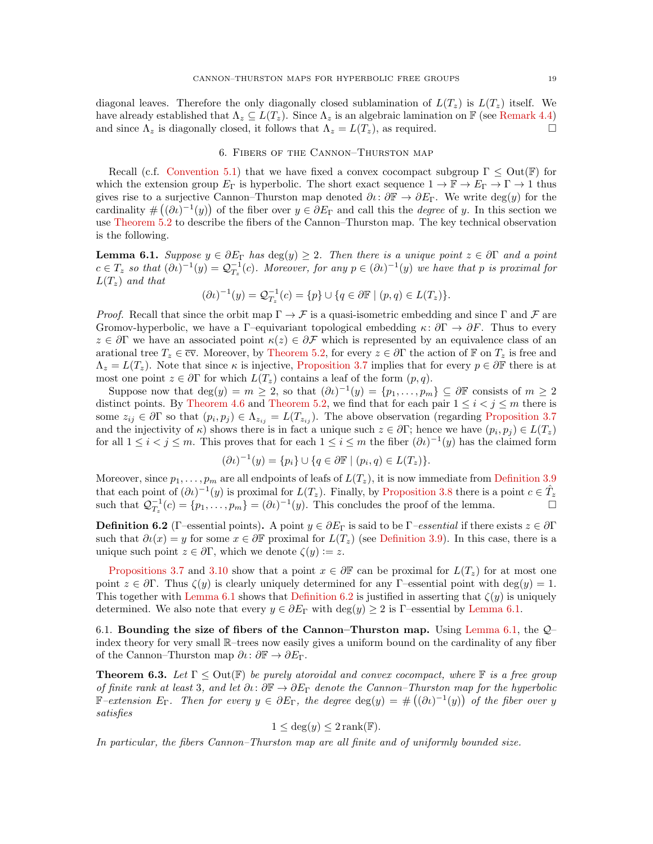diagonal leaves. Therefore the only diagonally closed sublamination of  $L(T_z)$  is  $L(T_z)$  itself. We have already established that  $\Lambda_z \subseteq L(T_z)$ . Since  $\Lambda_z$  is an algebraic lamination on F (see [Remark 4.4\)](#page-11-2) and since  $\Lambda_z$  is diagonally closed, it follows that  $\Lambda_z = L(T_z)$ , as required.

#### 6. Fibers of the Cannon–Thurston map

Recall (c.f. [Convention 5.1\)](#page-12-3) that we have fixed a convex cocompact subgroup  $\Gamma \leq Out(\mathbb{F})$  for which the extension group  $E_{\Gamma}$  is hyperbolic. The short exact sequence  $1 \to \mathbb{F} \to E_{\Gamma} \to \Gamma \to 1$  thus gives rise to a surjective Cannon–Thurston map denoted  $\partial\iota\colon\partial\mathbb{F}\to\partial E_{\Gamma}$ . We write deg(y) for the cardinality  $\#((\partial t)^{-1}(y))$  of the fiber over  $y \in \partial E_{\Gamma}$  and call this the *degree* of y. In this section we use [Theorem 5.2](#page-13-0) to describe the fibers of the Cannon–Thurston map. The key technical observation is the following.

<span id="page-18-1"></span>**Lemma 6.1.** Suppose  $y \in \partial E_\Gamma$  has  $\deg(y) \geq 2$ . Then there is a unique point  $z \in \partial \Gamma$  and a point  $c \in T_z$  so that  $(\partial \iota)^{-1}(y) = \mathcal{Q}_{T_z}^{-1}(c)$ . Moreover, for any  $p \in (\partial \iota)^{-1}(y)$  we have that p is proximal for  $L(T_z)$  and that

$$
(\partial \iota)^{-1}(y) = \mathcal{Q}_{T_z}^{-1}(c) = \{p\} \cup \{q \in \partial \mathbb{F} \mid (p, q) \in L(T_z)\}.
$$

*Proof.* Recall that since the orbit map  $\Gamma \to \mathcal{F}$  is a quasi-isometric embedding and since  $\Gamma$  and  $\mathcal{F}$  are Gromov-hyperbolic, we have a Γ–equivariant topological embedding  $\kappa: \partial \Gamma \to \partial F$ . Thus to every  $z \in \partial \Gamma$  we have an associated point  $\kappa(z) \in \partial \mathcal{F}$  which is represented by an equivalence class of an arational tree  $T_z \in \overline{cv}$ . Moreover, by [Theorem 5.2,](#page-13-0) for every  $z \in \partial \Gamma$  the action of  $\mathbb{F}$  on  $T_z$  is free and  $\Lambda_z = L(T_z)$ . Note that since  $\kappa$  is injective, [Proposition 3.7](#page-8-1) implies that for every  $p \in \partial \mathbb{F}$  there is at most one point  $z \in \partial \Gamma$  for which  $L(T_z)$  contains a leaf of the form  $(p, q)$ .

Suppose now that  $deg(y) = m \geq 2$ , so that  $(\partial \iota)^{-1}(y) = \{p_1, \ldots, p_m\} \subseteq \partial \mathbb{F}$  consists of  $m \geq 2$ distinct points. By [Theorem 4.6](#page-12-0) and [Theorem 5.2,](#page-13-0) we find that for each pair  $1 \leq i < j \leq m$  there is some  $z_{ij} \in \partial \Gamma$  so that  $(p_i, p_j) \in \Lambda_{z_{ij}} = L(T_{z_{ij}})$ . The above observation (regarding [Proposition 3.7](#page-8-1)) and the injectivity of  $\kappa$ ) shows there is in fact a unique such  $z \in \partial \Gamma$ ; hence we have  $(p_i, p_j) \in L(T_z)$ for all  $1 \leq i < j \leq m$ . This proves that for each  $1 \leq i \leq m$  the fiber  $(\partial \iota)^{-1}(y)$  has the claimed form

$$
(\partial \iota)^{-1}(y) = \{p_i\} \cup \{q \in \partial \mathbb{F} \mid (p_i, q) \in L(T_z)\}.
$$

Moreover, since  $p_1, \ldots, p_m$  are all endpoints of leafs of  $L(T_z)$ , it is now immediate from [Definition 3.9](#page-8-0) that each point of  $(\partial t)^{-1}(y)$  is proximal for  $L(T_z)$ . Finally, by [Proposition 3.8](#page-8-3) there is a point  $c \in \hat{T}_z$ such that  $\mathcal{Q}_{T_z}^{-1}(c) = \{p_1, \ldots, p_m\} = (\partial \iota)^{-1}(y)$ . This concludes the proof of the lemma.

<span id="page-18-2"></span>**Definition 6.2** (Γ–essential points). A point  $y \in \partial E_\Gamma$  is said to be  $\Gamma$ –essential if there exists  $z \in \partial \Gamma$ such that  $\partial \iota(x) = y$  for some  $x \in \partial \mathbb{F}$  proximal for  $L(T_z)$  (see [Definition 3.9\)](#page-8-0). In this case, there is a unique such point  $z \in \partial \Gamma$ , which we denote  $\zeta(y) := z$ .

[Propositions 3.7](#page-8-1) and [3.10](#page-8-4) show that a point  $x \in \partial \mathbb{F}$  can be proximal for  $L(T_z)$  for at most one point  $z \in \partial \Gamma$ . Thus  $\zeta(y)$  is clearly uniquely determined for any Γ–essential point with deg $(y) = 1$ . This together with [Lemma 6.1](#page-18-1) shows that [Definition 6.2](#page-18-2) is justified in asserting that  $\zeta(y)$  is uniquely determined. We also note that every  $y \in \partial E_{\Gamma}$  with  $\deg(y) \geq 2$  is Γ–essential by [Lemma 6.1.](#page-18-1)

6.1. Bounding the size of fibers of the Cannon–Thurston map. Using [Lemma 6.1,](#page-18-1) the  $Q$ – index theory for very small R–trees now easily gives a uniform bound on the cardinality of any fiber of the Cannon–Thurston map  $\partial \iota : \partial \mathbb{F} \to \partial E_{\Gamma}$ .

<span id="page-18-0"></span>**Theorem 6.3.** Let  $\Gamma \leq Out(\mathbb{F})$  be purely atoroidal and convex cocompact, where  $\mathbb{F}$  is a free group of finite rank at least 3, and let  $\partial\iota: \partial\mathbb{F} \to \partial E_\Gamma$  denote the Cannon–Thurston map for the hyperbolic F-extension  $E_{\Gamma}$ . Then for every  $y \in \partial E_{\Gamma}$ , the degree  $\deg(y) = \#((\partial \iota)^{-1}(y))$  of the fiber over y satisfies

$$
1 \le \deg(y) \le 2 \operatorname{rank}(\mathbb{F}).
$$

In particular, the fibers Cannon–Thurston map are all finite and of uniformly bounded size.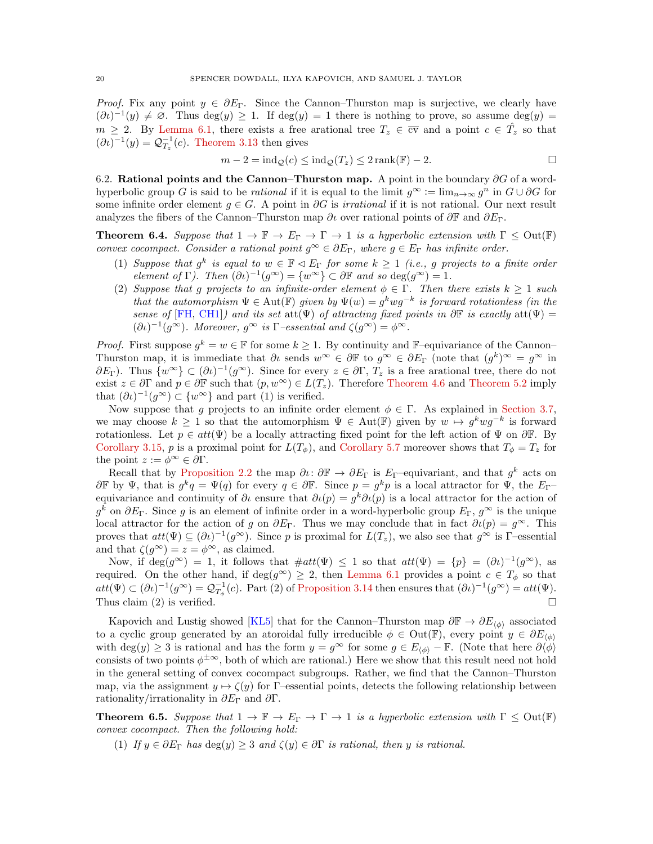*Proof.* Fix any point  $y \in \partial E_{\Gamma}$ . Since the Cannon–Thurston map is surjective, we clearly have  $(\partial \iota)^{-1}(y) \neq \emptyset$ . Thus deg $(y) \geq 1$ . If deg $(y) = 1$  there is nothing to prove, so assume deg $(y) =$  $m \geq 2$ . By [Lemma 6.1,](#page-18-1) there exists a free arational tree  $T_z \in \overline{cv}$  and a point  $c \in \hat{T}_z$  so that  $(\partial t)^{-1}(y) = \mathcal{Q}_{T_z}^{-1}(c)$ . [Theorem 3.13](#page-9-2) then gives

$$
m - 2 = ind_{\mathcal{Q}}(c) \leq ind_{\mathcal{Q}}(T_z) \leq 2 \operatorname{rank}(\mathbb{F}) - 2.
$$

6.2. Rational points and the Cannon–Thurston map. A point in the boundary  $\partial G$  of a wordhyperbolic group G is said to be *rational* if it is equal to the limit  $g^{\infty} := \lim_{n \to \infty} g^n$  in  $G \cup \partial G$  for some infinite order element  $g \in G$ . A point in ∂G is *irrational* if it is not rational. Our next result analyzes the fibers of the Cannon–Thurston map  $\partial\iota$  over rational points of  $\partial\mathbb{F}$  and  $\partial E_{\Gamma}$ .

<span id="page-19-0"></span>**Theorem 6.4.** Suppose that  $1 \to \mathbb{F} \to E_\Gamma \to \Gamma \to 1$  is a hyperbolic extension with  $\Gamma \leq \text{Out}(\mathbb{F})$ convex cocompact. Consider a rational point  $g^{\infty} \in \partial E_{\Gamma}$ , where  $g \in E_{\Gamma}$  has infinite order.

- (1) Suppose that  $g^k$  is equal to  $w \in \mathbb{F} \triangleleft E_\Gamma$  for some  $k \geq 1$  (i.e., g projects to a finite order element of  $\Gamma$ ). Then  $(\partial t)^{-1}(g^{\infty}) = \{w^{\infty}\}\subset \partial \mathbb{F}$  and so  $\deg(g^{\infty}) = 1$ .
- (2) Suppose that g projects to an infinite-order element  $\phi \in \Gamma$ . Then there exists  $k \geq 1$  such that the automorphism  $\Psi \in \text{Aut}(\mathbb{F})$  given by  $\Psi(w) = g^k w g^{-k}$  is forward rotationless (in the sense of [\[FH,](#page-24-15) [CH1\]](#page-24-16)) and its set att $(\Psi)$  of attracting fixed points in  $\partial \mathbb{F}$  is exactly att $(\Psi)$  =  $(\partial \iota)^{-1}(g^{\infty})$ . Moreover,  $g^{\infty}$  is  $\Gamma$ -essential and  $\zeta(g^{\infty}) = \phi^{\infty}$ .

*Proof.* First suppose  $g^k = w \in \mathbb{F}$  for some  $k \geq 1$ . By continuity and F-equivariance of the Cannon-Thurston map, it is immediate that  $\partial\iota$  sends  $w^{\infty} \in \partial\mathbb{F}$  to  $g^{\infty} \in \partial E_{\Gamma}$  (note that  $(g^k)^{\infty} = g^{\infty}$  in  $\partial E_{\Gamma}$ ). Thus  $\{w^{\infty}\}\subset(\partial\iota)^{-1}(g^{\infty})$ . Since for every  $z\in\partial\Gamma$ ,  $T_z$  is a free arational tree, there do not exist  $z \in \partial \Gamma$  and  $p \in \partial \mathbb{F}$  such that  $(p, w^{\infty}) \in L(T_z)$ . Therefore [Theorem 4.6](#page-12-0) and [Theorem 5.2](#page-13-0) imply that  $(\partial \iota)^{-1}(g^{\infty}) \subset \{w^{\infty}\}\$ and part (1) is verified.

Now suppose that g projects to an infinite order element  $\phi \in \Gamma$ . As explained in [Section 3.7,](#page-9-0) we may choose  $k \geq 1$  so that the automorphism  $\Psi \in Aut(\mathbb{F})$  given by  $w \mapsto g^kwg^{-k}$  is forward rotationless. Let  $p \in att(\Psi)$  be a locally attracting fixed point for the left action of  $\Psi$  on  $\partial \mathbb{F}$ . By [Corollary 3.15,](#page-9-3) p is a proximal point for  $L(T_{\phi})$ , and [Corollary 5.7](#page-15-2) moreover shows that  $T_{\phi} = T_z$  for the point  $z := \phi^{\infty} \in \partial \Gamma$ .

Recall that by [Proposition 2.2](#page-4-1) the map  $\partial\iota\colon\partial\mathbb{F}\to\partial E_\Gamma$  is  $E_\Gamma$ -equivariant, and that  $g^k$  acts on  $\partial \mathbb{F}$  by  $\Psi$ , that is  $g^k q = \Psi(q)$  for every  $q \in \partial \mathbb{F}$ . Since  $p = g^k p$  is a local attractor for  $\Psi$ , the  $E_{\Gamma}$ equivariance and continuity of  $\partial\iota$  ensure that  $\partial\iota(p) = g^k \partial\iota(p)$  is a local attractor for the action of  $g^k$  on  $\partial E_\Gamma$ . Since g is an element of infinite order in a word-hyperbolic group  $E_\Gamma$ ,  $g^\infty$  is the unique local attractor for the action of g on  $\partial E_{\Gamma}$ . Thus we may conclude that in fact  $\partial \iota(p) = g^{\infty}$ . This proves that  $att(\Psi) \subseteq (\partial \iota)^{-1}(g^{\infty})$ . Since p is proximal for  $L(T_z)$ , we also see that  $g^{\infty}$  is  $\Gamma$ -essential and that  $\zeta(q^{\infty}) = z = \phi^{\infty}$ , as claimed.

Now, if  $\deg(g^{\infty}) = 1$ , it follows that  $\#att(\Psi) \leq 1$  so that  $att(\Psi) = \{p\} = (\partial \iota)^{-1}(g^{\infty})$ , as required. On the other hand, if deg( $g^{\infty}$ ) ≥ 2, then [Lemma 6.1](#page-18-1) provides a point  $c \in T_{\phi}$  so that  $att(\Psi) \subset (\partial \iota)^{-1}(g^{\infty}) = \mathcal{Q}_{T_{\phi}}^{-1}(c)$ . Part (2) of [Proposition 3.14](#page-9-1) then ensures that  $(\partial \iota)^{-1}(g^{\infty}) = att(\Psi)$ . Thus claim (2) is verified.  $\square$ 

Kapovich and Lustig showed [\[KL5\]](#page-25-0) that for the Cannon–Thurston map  $\partial \mathbb{F} \to \partial E_{\phi}$  associated to a cyclic group generated by an atoroidal fully irreducible  $\phi \in Out(\mathbb{F})$ , every point  $y \in \partial E_{\phi}$ with deg(y) ≥ 3 is rational and has the form  $y = g^{\infty}$  for some  $g \in E_{\langle \phi \rangle} - \mathbb{F}$ . (Note that here  $\partial \langle \phi \rangle$ consists of two points  $\phi^{\pm \infty}$ , both of which are rational.) Here we show that this result need not hold in the general setting of convex cocompact subgroups. Rather, we find that the Cannon–Thurston map, via the assignment  $y \mapsto \zeta(y)$  for Γ–essential points, detects the following relationship between rationality/irrationality in  $\partial E_{\Gamma}$  and  $\partial \Gamma$ .

<span id="page-19-1"></span>**Theorem 6.5.** Suppose that  $1 \to \mathbb{F} \to E_{\Gamma} \to \Gamma \to 1$  is a hyperbolic extension with  $\Gamma \leq Out(\mathbb{F})$ convex cocompact. Then the following hold:

(1) If  $y \in \partial E_\Gamma$  has  $\deg(y) \geq 3$  and  $\zeta(y) \in \partial \Gamma$  is rational, then y is rational.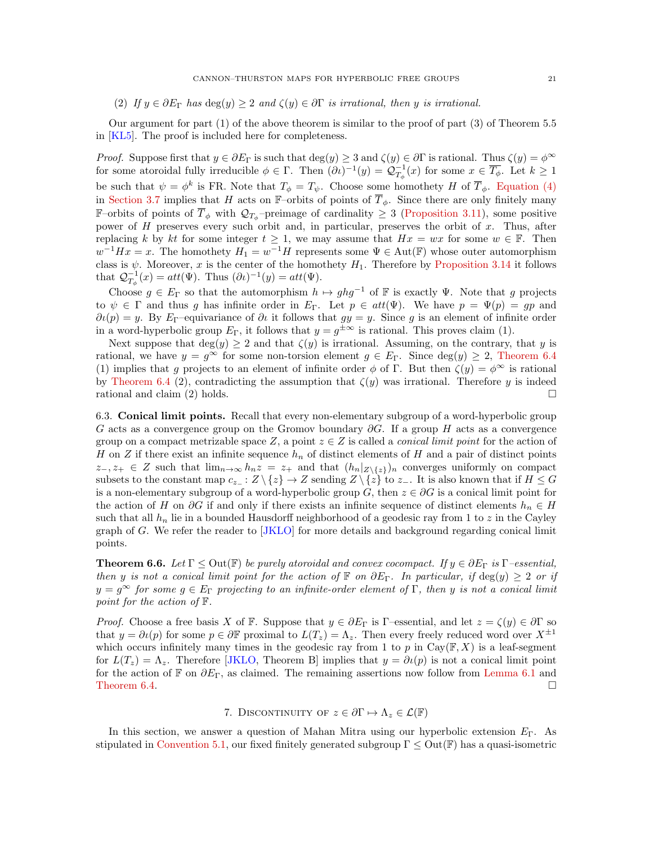(2) If  $y \in \partial E_\Gamma$  has  $\deg(y) \geq 2$  and  $\zeta(y) \in \partial \Gamma$  is irrational, then y is irrational.

Our argument for part (1) of the above theorem is similar to the proof of part (3) of Theorem 5.5 in [\[KL5\]](#page-25-0). The proof is included here for completeness.

Proof. Suppose first that  $y \in \partial E_\Gamma$  is such that  $\deg(y) \geq 3$  and  $\zeta(y) \in \partial \Gamma$  is rational. Thus  $\zeta(y) = \phi^\infty$ for some atoroidal fully irreducible  $\phi \in \Gamma$ . Then  $(\partial \iota)^{-1}(y) = \mathcal{Q}_{T_{\phi}}^{-1}(x)$  for some  $x \in \overline{T_{\phi}}$ . Let  $k \geq 1$ be such that  $\psi = \phi^k$  is FR. Note that  $T_{\phi} = T_{\psi}$ . Choose some homothety H of  $\overline{T}_{\phi}$ . [Equation \(4\)](#page-9-4) in [Section 3.7](#page-9-0) implies that H acts on F–orbits of points of  $\overline{T}_{\phi}$ . Since there are only finitely many F-orbits of points of  $\overline{T}_{\phi}$  with  $\mathcal{Q}_{T_{\phi}}$ -preimage of cardinality  $\geq 3$  [\(Proposition 3.11\)](#page-8-2), some positive power of H preserves every such orbit and, in particular, preserves the orbit of x. Thus, after replacing k by kt for some integer  $t \geq 1$ , we may assume that  $Hx = wx$  for some  $w \in \mathbb{F}$ . Then  $w^{-1}Hx = x$ . The homothety  $H_1 = w^{-1}H$  represents some  $\Psi \in \text{Aut}(\mathbb{F})$  whose outer automorphism class is  $\psi$ . Moreover, x is the center of the homothety  $H_1$ . Therefore by [Proposition 3.14](#page-9-1) it follows that  $\mathcal{Q}_{T_{\phi}}^{-1}(x) = att(\Psi)$ . Thus  $(\partial \iota)^{-1}(y) = att(\Psi)$ .

Choose  $g \in E_{\Gamma}$  so that the automorphism  $h \mapsto ghg^{-1}$  of F is exactly  $\Psi$ . Note that g projects to  $\psi \in \Gamma$  and thus g has infinite order in  $E_{\Gamma}$ . Let  $p \in att(\Psi)$ . We have  $p = \Psi(p) = gp$  and  $\partial \iota(p) = y$ . By E<sub>Γ</sub>–equivariance of  $\partial \iota$  it follows that  $gy = y$ . Since g is an element of infinite order in a word-hyperbolic group  $E_{\Gamma}$ , it follows that  $y = g^{\pm \infty}$  is rational. This proves claim (1).

Next suppose that  $deg(y) \geq 2$  and that  $\zeta(y)$  is irrational. Assuming, on the contrary, that y is rational, we have  $y = g^{\infty}$  for some non-torsion element  $g \in E_{\Gamma}$ . Since  $\deg(y) \geq 2$ , [Theorem 6.4](#page-19-0) (1) implies that g projects to an element of infinite order  $\phi$  of Γ. But then  $\zeta(y) = \phi^{\infty}$  is rational by [Theorem 6.4](#page-19-0) (2), contradicting the assumption that  $\zeta(y)$  was irrational. Therefore y is indeed rational and claim (2) holds.  $\square$ 

6.3. Conical limit points. Recall that every non-elementary subgroup of a word-hyperbolic group G acts as a convergence group on the Gromov boundary  $\partial G$ . If a group H acts as a convergence group on a compact metrizable space Z, a point  $z \in Z$  is called a *conical limit point* for the action of H on Z if there exist an infinite sequence  $h_n$  of distinct elements of H and a pair of distinct points  $z_-, z_+ \in Z$  such that  $\lim_{n\to\infty} h_n z = z_+$  and that  $(h_n|_{Z\setminus\{z\}})_n$  converges uniformly on compact subsets to the constant map  $c_{z-}$ :  $Z \setminus \{z\} \to Z$  sending  $Z \setminus \{z\}$  to  $z_-\$ . It is also known that if  $H \leq G$ is a non-elementary subgroup of a word-hyperbolic group G, then  $z \in \partial G$  is a conical limit point for the action of H on  $\partial G$  if and only if there exists an infinite sequence of distinct elements  $h_n \in H$ such that all  $h_n$  lie in a bounded Hausdorff neighborhood of a geodesic ray from 1 to z in the Cayley graph of G. We refer the reader to [\[JKLO\]](#page-24-6) for more details and background regarding conical limit points.

<span id="page-20-0"></span>**Theorem 6.6.** Let  $\Gamma \leq$  Out( $\mathbb{F}$ ) be purely atoroidal and convex cocompact. If  $y \in \partial E_{\Gamma}$  is  $\Gamma$ -essential, then y is not a conical limit point for the action of F on  $\partial E_{\Gamma}$ . In particular, if  $\deg(y) \geq 2$  or if  $y = g^{\infty}$  for some  $g \in E_{\Gamma}$  projecting to an infinite-order element of  $\Gamma$ , then y is not a conical limit point for the action of F.

*Proof.* Choose a free basis X of F. Suppose that  $y \in \partial E_\Gamma$  is Γ–essential, and let  $z = \zeta(y) \in \partial \Gamma$  so that  $y = \partial \iota(p)$  for some  $p \in \partial \mathbb{F}$  proximal to  $L(T_z) = \Lambda_z$ . Then every freely reduced word over  $X^{\pm 1}$ which occurs infinitely many times in the geodesic ray from 1 to p in  $Cay(\mathbb{F}, X)$  is a leaf-segment for  $L(T_z) = \Lambda_z$ . Therefore [\[JKLO,](#page-24-6) Theorem B] implies that  $y = \partial \iota(p)$  is not a conical limit point for the action of F on  $\partial E_{\Gamma}$ , as claimed. The remaining assertions now follow from [Lemma 6.1](#page-18-1) and [Theorem 6.4.](#page-19-0)  $\Box$ 

### 7. DISCONTINUITY OF  $z \in \partial \Gamma \mapsto \Lambda_z \in \mathcal{L}(\mathbb{F})$

<span id="page-20-1"></span>In this section, we answer a question of Mahan Mitra using our hyperbolic extension  $E_{\Gamma}$ . As stipulated in [Convention 5.1,](#page-12-3) our fixed finitely generated subgroup  $\Gamma \leq Out(\mathbb{F})$  has a quasi-isometric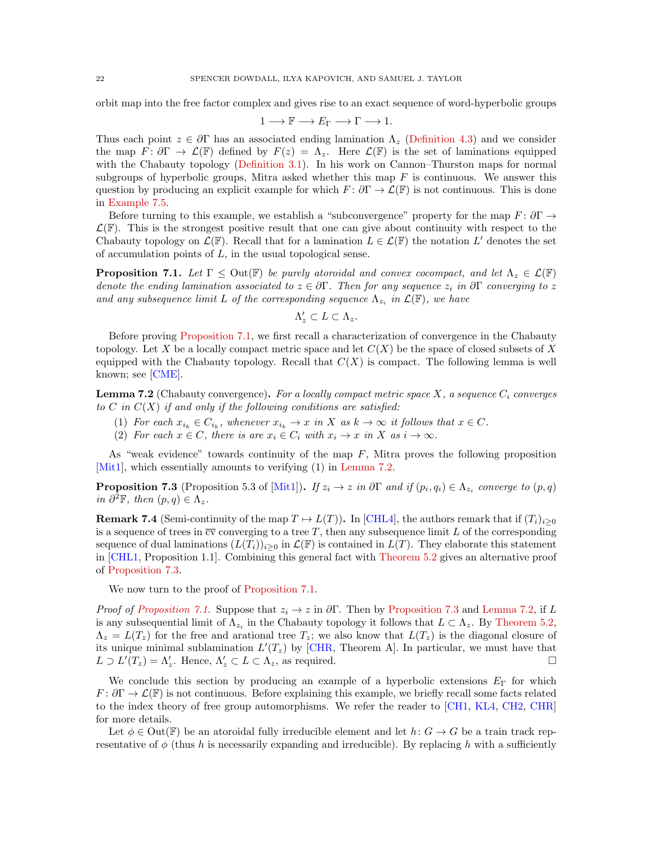orbit map into the free factor complex and gives rise to an exact sequence of word-hyperbolic groups

$$
1 \longrightarrow \mathbb{F} \longrightarrow E_{\Gamma} \longrightarrow \Gamma \longrightarrow 1.
$$

Thus each point  $z \in \partial \Gamma$  has an associated ending lamination  $\Lambda_z$  [\(Definition 4.3\)](#page-11-0) and we consider the map  $F: \partial \Gamma \to \mathcal{L}(\mathbb{F})$  defined by  $F(z) = \Lambda_z$ . Here  $\mathcal{L}(\mathbb{F})$  is the set of laminations equipped with the Chabauty topology [\(Definition 3.1\)](#page-5-0). In his work on Cannon–Thurston maps for normal subgroups of hyperbolic groups, Mitra asked whether this map  $F$  is continuous. We answer this question by producing an explicit example for which  $F: \partial \Gamma \to \mathcal{L}(\mathbb{F})$  is not continuous. This is done in [Example 7.5.](#page-22-0)

Before turning to this example, we establish a "subconvergence" property for the map  $F: \partial \Gamma \to$  $\mathcal{L}(\mathbb{F})$ . This is the strongest positive result that one can give about continuity with respect to the Chabauty topology on  $\mathcal{L}(\mathbb{F})$ . Recall that for a lamination  $L \in \mathcal{L}(\mathbb{F})$  the notation  $L'$  denotes the set of accumulation points of  $L$ , in the usual topological sense.

<span id="page-21-0"></span>**Proposition 7.1.** Let  $\Gamma \leq$  Out( $\mathbb{F}$ ) be purely atoroidal and convex cocompact, and let  $\Lambda_z \in \mathcal{L}(\mathbb{F})$ denote the ending lamination associated to  $z \in \partial \Gamma$ . Then for any sequence  $z_i$  in  $\partial \Gamma$  converging to z and any subsequence limit L of the corresponding sequence  $\Lambda_{z_i}$  in  $\mathcal{L}(\mathbb{F})$ , we have

$$
\Lambda'_z \subset L \subset \Lambda_z.
$$

Before proving [Proposition 7.1,](#page-21-0) we first recall a characterization of convergence in the Chabauty topology. Let X be a locally compact metric space and let  $C(X)$  be the space of closed subsets of X equipped with the Chabauty topology. Recall that  $C(X)$  is compact. The following lemma is well known; see [\[CME\]](#page-24-18).

<span id="page-21-1"></span>**Lemma 7.2** (Chabauty convergence). For a locally compact metric space X, a sequence  $C_i$  converges to  $C$  in  $C(X)$  if and only if the following conditions are satisfied:

- (1) For each  $x_{i_k} \in C_{i_k}$ , whenever  $x_{i_k} \to x$  in X as  $k \to \infty$  it follows that  $x \in C$ .
- (2) For each  $x \in C$ , there is are  $x_i \in C_i$  with  $x_i \to x$  in X as  $i \to \infty$ .

As "weak evidence" towards continuity of the map  $F$ , Mitra proves the following proposition [\[Mit1\]](#page-25-15), which essentially amounts to verifying (1) in [Lemma 7.2.](#page-21-1)

<span id="page-21-2"></span>**Proposition 7.3** (Proposition 5.3 of [\[Mit1\]](#page-25-15)). If  $z_i \to z$  in  $\partial \Gamma$  and if  $(p_i, q_i) \in \Lambda_{z_i}$  converge to  $(p, q)$ in  $\partial^2 \mathbb{F}$ , then  $(p, q) \in \Lambda_z$ .

**Remark 7.4** (Semi-continuity of the map  $T \mapsto L(T)$ ). In [\[CHL4\]](#page-24-10), the authors remark that if  $(T_i)_{i\geq 0}$ is a sequence of trees in  $\overline{cv}$  converging to a tree T, then any subsequence limit L of the corresponding sequence of dual laminations  $(L(T_i))_{i\geq 0}$  in  $\mathcal{L}(\mathbb{F})$  is contained in  $L(T)$ . They elaborate this statement in [\[CHL1,](#page-24-17) Proposition 1.1]. Combining this general fact with [Theorem 5.2](#page-13-0) gives an alternative proof of [Proposition 7.3.](#page-21-2)

We now turn to the proof of [Proposition 7.1.](#page-21-0)

*Proof of [Proposition 7.1.](#page-21-0)* Suppose that  $z_i \to z$  in  $\partial \Gamma$ . Then by [Proposition 7.3](#page-21-2) and [Lemma 7.2,](#page-21-1) if L is any subsequential limit of  $\Lambda_{z_i}$  in the Chabauty topology it follows that  $L \subset \Lambda_z$ . By [Theorem 5.2,](#page-13-0)  $\Lambda_z = L(T_z)$  for the free and arational tree  $T_z$ ; we also know that  $L(T_z)$  is the diagonal closure of its unique minimal sublamination  $L'(T_z)$  by [\[CHR,](#page-24-26) Theorem A]. In particular, we must have that  $L \supset L'(T_z) = \Lambda'_z$ . Hence,  $\Lambda'_z \subset L \subset \Lambda_z$ , as required.

We conclude this section by producing an example of a hyperbolic extensions  $E_{\Gamma}$  for which  $F: \partial \Gamma \to \mathcal{L}(\mathbb{F})$  is not continuous. Before explaining this example, we briefly recall some facts related to the index theory of free group automorphisms. We refer the reader to [\[CH1,](#page-24-16) [KL4,](#page-25-24) [CH2,](#page-24-13) [CHR\]](#page-24-26) for more details.

Let  $\phi \in \text{Out}(\mathbb{F})$  be an atoroidal fully irreducible element and let  $h: G \to G$  be a train track representative of  $\phi$  (thus h is necessarily expanding and irreducible). By replacing h with a sufficiently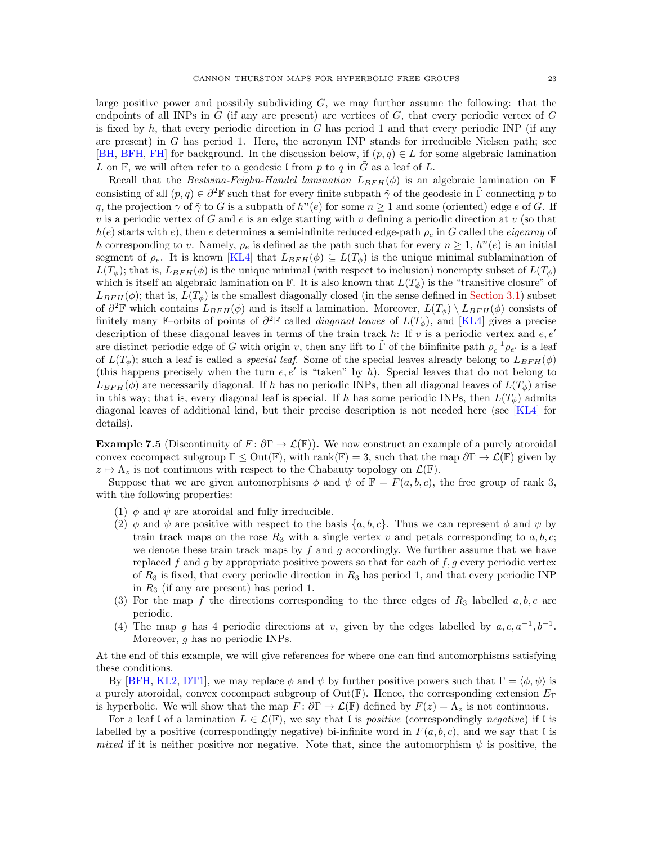large positive power and possibly subdividing  $G$ , we may further assume the following: that the endpoints of all INPs in  $G$  (if any are present) are vertices of  $G$ , that every periodic vertex of  $G$ is fixed by  $h$ , that every periodic direction in  $G$  has period 1 and that every periodic INP (if any are present) in  $G$  has period 1. Here, the acronym INP stands for irreducible Nielsen path; see [\[BH,](#page-24-30) [BFH,](#page-24-31) [FH\]](#page-24-15) for background. In the discussion below, if  $(p, q) \in L$  for some algebraic lamination L on F, we will often refer to a geodesic l from p to q in  $\tilde{G}$  as a leaf of L.

Recall that the Bestvina-Feighn-Handel lamination  $L_{BFH}(\phi)$  is an algebraic lamination on F consisting of all  $(p, q) \in \partial^2 \mathbb{F}$  such that for every finite subpath  $\tilde{\gamma}$  of the geodesic in  $\tilde{\Gamma}$  connecting p to q, the projection  $\gamma$  of  $\tilde{\gamma}$  to G is a subpath of  $h^n(e)$  for some  $n \geq 1$  and some (oriented) edge e of G. If v is a periodic vertex of G and e is an edge starting with v defining a periodic direction at v (so that  $h(e)$  starts with e), then e determines a semi-infinite reduced edge-path  $\rho_e$  in G called the eigenray of h corresponding to v. Namely,  $\rho_e$  is defined as the path such that for every  $n \geq 1$ ,  $h^n(e)$  is an initial segment of  $\rho_e$ . It is known [\[KL4\]](#page-25-24) that  $L_{BFH}(\phi) \subseteq L(T_{\phi})$  is the unique minimal sublamination of  $L(T_{\phi})$ ; that is,  $L_{BFH}(\phi)$  is the unique minimal (with respect to inclusion) nonempty subset of  $L(T_{\phi})$ which is itself an algebraic lamination on F. It is also known that  $L(T_{\phi})$  is the "transitive closure" of  $L_{BFH}(\phi)$ ; that is,  $L(T_{\phi})$  is the smallest diagonally closed (in the sense defined in [Section 3.1\)](#page-4-2) subset of  $\partial^2 \mathbb{F}$  which contains  $\hat{L}_{BFH}(\phi)$  and is itself a lamination. Moreover,  $L(T_{\phi}) \setminus L_{BFH}(\phi)$  consists of finitely many F–orbits of points of  $\partial^2 \mathbb{F}$  called *diagonal leaves* of  $L(T_{\phi})$ , and [\[KL4\]](#page-25-24) gives a precise description of these diagonal leaves in terms of the train track h: If v is a periodic vertex and  $e, e'$ are distinct periodic edge of G with origin v, then any lift to  $\tilde{\Gamma}$  of the biinfinite path  $\rho_e^{-1} \rho_{e'}$  is a leaf of  $L(T_{\phi})$ ; such a leaf is called a *special leaf*. Some of the special leaves already belong to  $L_{BFH}(\phi)$ (this happens precisely when the turn  $e, e'$  is "taken" by h). Special leaves that do not belong to  $L_{BFH}(\phi)$  are necessarily diagonal. If h has no periodic INPs, then all diagonal leaves of  $L(T_{\phi})$  arise in this way; that is, every diagonal leaf is special. If h has some periodic INPs, then  $L(T_{\phi})$  admits diagonal leaves of additional kind, but their precise description is not needed here (see [\[KL4\]](#page-25-24) for details).

<span id="page-22-0"></span>**Example 7.5** (Discontinuity of  $F: \partial \Gamma \to \mathcal{L}(\mathbb{F})$ ). We now construct an example of a purely atoroidal convex cocompact subgroup  $\Gamma \leq Out(\mathbb{F})$ , with rank $(\mathbb{F}) = 3$ , such that the map  $\partial \Gamma \to \mathcal{L}(\mathbb{F})$  given by  $z \mapsto \Lambda_z$  is not continuous with respect to the Chabauty topology on  $\mathcal{L}(\mathbb{F})$ .

Suppose that we are given automorphisms  $\phi$  and  $\psi$  of  $\mathbb{F} = F(a, b, c)$ , the free group of rank 3, with the following properties:

- (1)  $\phi$  and  $\psi$  are atoroidal and fully irreducible.
- (2)  $\phi$  and  $\psi$  are positive with respect to the basis {a, b, c}. Thus we can represent  $\phi$  and  $\psi$  by train track maps on the rose  $R_3$  with a single vertex v and petals corresponding to  $a, b, c$ ; we denote these train track maps by  $f$  and  $g$  accordingly. We further assume that we have replaced f and g by appropriate positive powers so that for each of  $f, g$  every periodic vertex of  $R_3$  is fixed, that every periodic direction in  $R_3$  has period 1, and that every periodic INP in  $R_3$  (if any are present) has period 1.
- (3) For the map f the directions corresponding to the three edges of  $R_3$  labelled  $a, b, c$  are periodic.
- (4) The map g has 4 periodic directions at v, given by the edges labelled by  $a, c, a^{-1}, b^{-1}$ . Moreover, g has no periodic INPs.

At the end of this example, we will give references for where one can find automorphisms satisfying these conditions.

By [\[BFH,](#page-24-31) [KL2,](#page-25-25) [DT1\]](#page-24-0), we may replace  $\phi$  and  $\psi$  by further positive powers such that  $\Gamma = \langle \phi, \psi \rangle$  is a purely atoroidal, convex cocompact subgroup of  $Out(\mathbb{F})$ . Hence, the corresponding extension  $E_{\Gamma}$ is hyperbolic. We will show that the map  $F: \partial \Gamma \to \mathcal{L}(\mathbb{F})$  defined by  $F(z) = \Lambda_z$  is not continuous.

For a leaf l of a lamination  $L \in \mathcal{L}(\mathbb{F})$ , we say that l is *positive* (correspondingly *negative*) if l is labelled by a positive (correspondingly negative) bi-infinite word in  $F(a, b, c)$ , and we say that l is mixed if it is neither positive nor negative. Note that, since the automorphism  $\psi$  is positive, the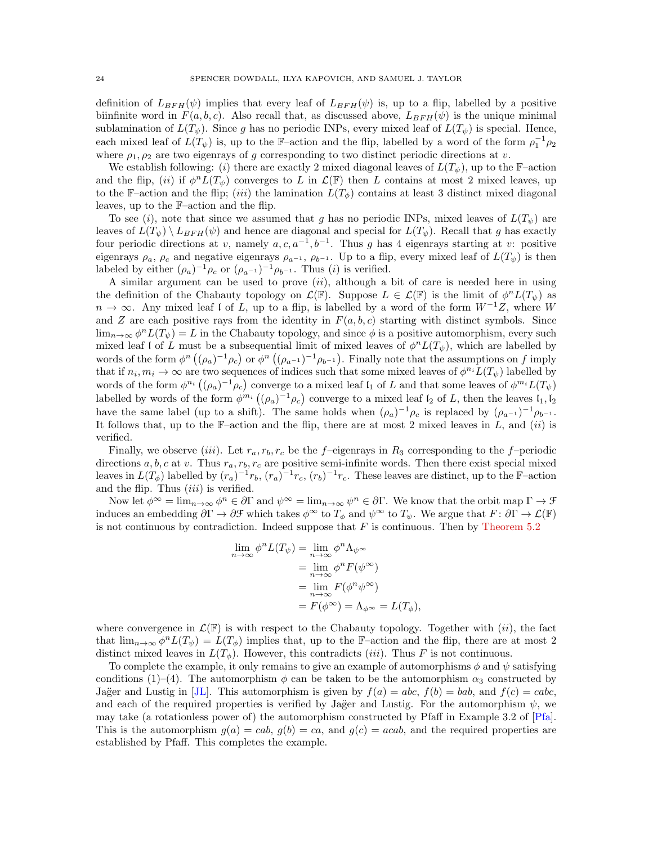definition of  $L_{BFH}(\psi)$  implies that every leaf of  $L_{BFH}(\psi)$  is, up to a flip, labelled by a positive biinfinite word in  $F(a, b, c)$ . Also recall that, as discussed above,  $L_{BFH}(\psi)$  is the unique minimal sublamination of  $L(T_{\psi})$ . Since g has no periodic INPs, every mixed leaf of  $L(T_{\psi})$  is special. Hence, each mixed leaf of  $L(T_{\psi})$  is, up to the F-action and the flip, labelled by a word of the form  $\rho_1^{-1}\rho_2$ where  $\rho_1, \rho_2$  are two eigenrays of g corresponding to two distinct periodic directions at v.

We establish following: (i) there are exactly 2 mixed diagonal leaves of  $L(T_{\psi})$ , up to the F–action and the flip, (ii) if  $\phi^n L(T_\psi)$  converges to L in  $\mathcal{L}(\mathbb{F})$  then L contains at most 2 mixed leaves, up to the F–action and the flip; (iii) the lamination  $L(T_{\phi})$  contains at least 3 distinct mixed diagonal leaves, up to the F–action and the flip.

To see (i), note that since we assumed that g has no periodic INPs, mixed leaves of  $L(T_{\psi})$  are leaves of  $L(T_{\psi}) \setminus L_{BFH}(\psi)$  and hence are diagonal and special for  $L(T_{\psi})$ . Recall that g has exactly four periodic directions at v, namely  $a, c, a^{-1}, b^{-1}$ . Thus g has 4 eigenrays starting at v: positive eigenrays  $\rho_a$ ,  $\rho_c$  and negative eigenrays  $\rho_{a^{-1}}$ ,  $\rho_{b^{-1}}$ . Up to a flip, every mixed leaf of  $L(T_{\psi})$  is then labeled by either  $(\rho_a)^{-1} \rho_c$  or  $(\rho_{a^{-1}})^{-1} \rho_{b^{-1}}$ . Thus  $(i)$  is verified.

A similar argument can be used to prove  $(ii)$ , although a bit of care is needed here in using the definition of the Chabauty topology on  $\mathcal{L}(\mathbb{F})$ . Suppose  $L \in \mathcal{L}(\mathbb{F})$  is the limit of  $\phi^n L(T_\psi)$  as  $n \to \infty$ . Any mixed leaf l of L, up to a flip, is labelled by a word of the form  $W^{-1}Z$ , where W and Z are each positive rays from the identity in  $F(a, b, c)$  starting with distinct symbols. Since  $\lim_{n\to\infty}\phi^n L(T_{\psi})=L$  in the Chabauty topology, and since  $\phi$  is a positive automorphism, every such mixed leaf l of L must be a subsequential limit of mixed leaves of  $\phi^n L(T_{\psi})$ , which are labelled by words of the form  $\phi^n((\rho_a)^{-1}\rho_c)$  or  $\phi^n((\rho_{a^{-1}})^{-1}\rho_{b^{-1}})$ . Finally note that the assumptions on f imply that if  $n_i, m_i \to \infty$  are two sequences of indices such that some mixed leaves of  $\phi^{n_i} L(T_\psi)$  labelled by words of the form  $\phi^{n_i}((\rho_a)^{-1}\rho_c)$  converge to a mixed leaf  $\mathfrak{l}_1$  of L and that some leaves of  $\phi^{m_i}L(T_{\psi})$ labelled by words of the form  $\phi^{m_i}((\rho_a)^{-1}\rho_c)$  converge to a mixed leaf  $\mathfrak{l}_2$  of L, then the leaves  $\mathfrak{l}_1, \mathfrak{l}_2$ have the same label (up to a shift). The same holds when  $(\rho_a)^{-1} \rho_c$  is replaced by  $(\rho_{a^{-1}})^{-1} \rho_{b^{-1}}$ . It follows that, up to the  $\mathbb{F}-$ action and the flip, there are at most 2 mixed leaves in L, and (ii) is verified.

Finally, we observe (iii). Let  $r_a, r_b, r_c$  be the f–eigenrays in  $R_3$  corresponding to the f–periodic directions  $a, b, c$  at v. Thus  $r_a, r_b, r_c$  are positive semi-infinite words. Then there exist special mixed leaves in  $L(T_\phi)$  labelled by  $(r_a)^{-1}r_b$ ,  $(r_a)^{-1}r_c$ ,  $(r_b)^{-1}r_c$ . These leaves are distinct, up to the F-action and the flip. Thus  $(iii)$  is verified.

Now let  $\phi^{\infty} = \lim_{n \to \infty} \phi^n \in \partial \Gamma$  and  $\psi^{\infty} = \lim_{n \to \infty} \psi^n \in \partial \Gamma$ . We know that the orbit map  $\Gamma \to \mathcal{F}$ induces an embedding  $\partial \Gamma \to \partial \mathcal{F}$  which takes  $\phi^{\infty}$  to  $T_{\phi}$  and  $\psi^{\infty}$  to  $T_{\psi}$ . We argue that  $F: \partial \Gamma \to \mathcal{L}(\mathbb{F})$ is not continuous by contradiction. Indeed suppose that  $F$  is continuous. Then by [Theorem 5.2](#page-13-0)

$$
\lim_{n \to \infty} \phi^n L(T_{\psi}) = \lim_{n \to \infty} \phi^n \Lambda_{\psi^{\infty}}
$$
  
= 
$$
\lim_{n \to \infty} \phi^n F(\psi^{\infty})
$$
  
= 
$$
\lim_{n \to \infty} F(\phi^n \psi^{\infty})
$$
  
= 
$$
F(\phi^{\infty}) = \Lambda_{\phi^{\infty}} = L(T_{\phi}),
$$

where convergence in  $\mathcal{L}(\mathbb{F})$  is with respect to the Chabauty topology. Together with  $(ii)$ , the fact that  $\lim_{n\to\infty}\phi^n L(T_{\psi})=L(T_{\phi})$  implies that, up to the F-action and the flip, there are at most 2 distinct mixed leaves in  $L(T_{\phi})$ . However, this contradicts *(iii)*. Thus F is not continuous.

To complete the example, it only remains to give an example of automorphisms  $\phi$  and  $\psi$  satisfying conditions (1)–(4). The automorphism  $\phi$  can be taken to be the automorphism  $\alpha_3$  constructed by Jağer and Lustig in [\[JL\]](#page-25-26). This automorphism is given by  $f(a) = abc$ ,  $f(b) = bab$ , and  $f(c) = cabc$ , and each of the required properties is verified by Jağer and Lustig. For the automorphism  $\psi$ , we may take (a rotationless power of) the automorphism constructed by Pfaff in Example 3.2 of [\[Pfa\]](#page-25-27). This is the automorphism  $g(a) = cab$ ,  $g(b) = ca$ , and  $g(c) = acab$ , and the required properties are established by Pfaff. This completes the example.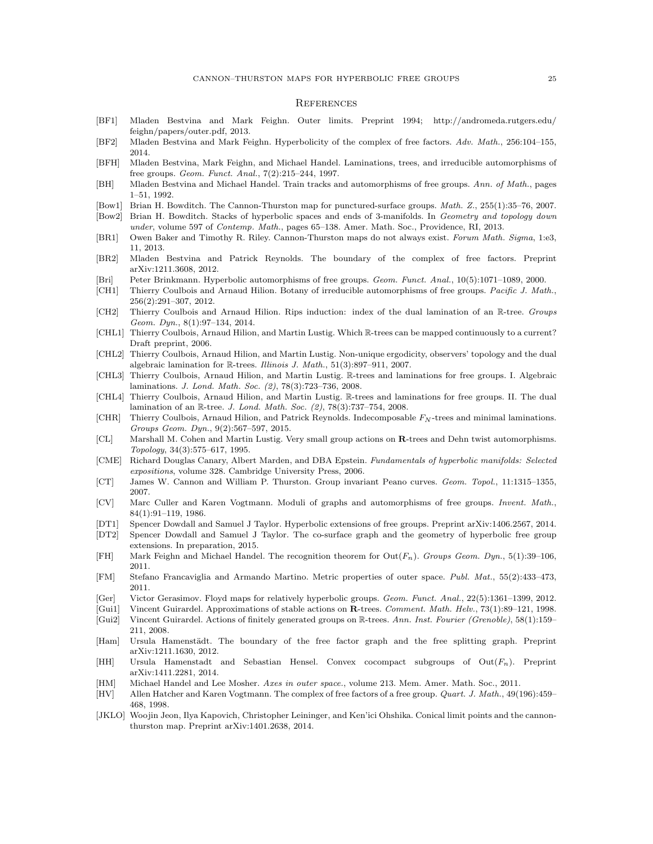#### **REFERENCES**

- <span id="page-24-21"></span>[BF1] Mladen Bestvina and Mark Feighn. Outer limits. Preprint 1994; http://andromeda.rutgers.edu/ feighn/papers/outer.pdf, 2013.
- <span id="page-24-8"></span>[BF2] Mladen Bestvina and Mark Feighn. Hyperbolicity of the complex of free factors. Adv. Math., 256:104–155, 2014.
- <span id="page-24-31"></span>[BFH] Mladen Bestvina, Mark Feighn, and Michael Handel. Laminations, trees, and irreducible automorphisms of free groups. Geom. Funct. Anal., 7(2):215–244, 1997.
- <span id="page-24-30"></span>[BH] Mladen Bestvina and Michael Handel. Train tracks and automorphisms of free groups. Ann. of Math., pages 1–51, 1992.
- <span id="page-24-4"></span>[Bow1] Brian H. Bowditch. The Cannon-Thurston map for punctured-surface groups. Math. Z., 255(1):35–76, 2007.
- <span id="page-24-5"></span>[Bow2] Brian H. Bowditch. Stacks of hyperbolic spaces and ends of 3-manifolds. In Geometry and topology down under, volume 597 of Contemp. Math., pages 65–138. Amer. Math. Soc., Providence, RI, 2013.
- <span id="page-24-2"></span>[BR1] Owen Baker and Timothy R. Riley. Cannon-Thurston maps do not always exist. Forum Math. Sigma, 1:e3, 11, 2013.
- <span id="page-24-11"></span>[BR2] Mladen Bestvina and Patrick Reynolds. The boundary of the complex of free factors. Preprint arXiv:1211.3608, 2012.
- <span id="page-24-27"></span>[Bri] Peter Brinkmann. Hyperbolic automorphisms of free groups. Geom. Funct. Anal., 10(5):1071–1089, 2000.
- <span id="page-24-16"></span>[CH1] Thierry Coulbois and Arnaud Hilion. Botany of irreducible automorphisms of free groups. Pacific J. Math., 256(2):291–307, 2012.
- <span id="page-24-13"></span>[CH2] Thierry Coulbois and Arnaud Hilion. Rips induction: index of the dual lamination of an R-tree. Groups Geom. Dyn., 8(1):97–134, 2014.
- <span id="page-24-17"></span>[CHL1] Thierry Coulbois, Arnaud Hilion, and Martin Lustig. Which R-trees can be mapped continuously to a current? Draft preprint, 2006.
- <span id="page-24-28"></span>[CHL2] Thierry Coulbois, Arnaud Hilion, and Martin Lustig. Non-unique ergodicity, observers' topology and the dual algebraic lamination for R-trees. Illinois J. Math., 51(3):897–911, 2007.
- <span id="page-24-9"></span>[CHL3] Thierry Coulbois, Arnaud Hilion, and Martin Lustig. R-trees and laminations for free groups. I. Algebraic laminations. J. Lond. Math. Soc. (2), 78(3):723–736, 2008.
- <span id="page-24-10"></span>[CHL4] Thierry Coulbois, Arnaud Hilion, and Martin Lustig. R-trees and laminations for free groups. II. The dual lamination of an R-tree. J. Lond. Math. Soc. (2), 78(3):737-754, 2008.
- <span id="page-24-26"></span>[CHR] Thierry Coulbois, Arnaud Hilion, and Patrick Reynolds. Indecomposable  $F_N$ -trees and minimal laminations. Groups Geom. Dyn., 9(2):567–597, 2015.
- <span id="page-24-20"></span>[CL] Marshall M. Cohen and Martin Lustig. Very small group actions on R-trees and Dehn twist automorphisms. Topology, 34(3):575–617, 1995.
- <span id="page-24-18"></span>[CME] Richard Douglas Canary, Albert Marden, and DBA Epstein. Fundamentals of hyperbolic manifolds: Selected expositions, volume 328. Cambridge University Press, 2006.
- <span id="page-24-1"></span>[CT] James W. Cannon and William P. Thurston. Group invariant Peano curves. Geom. Topol., 11:1315–1355, 2007.
- <span id="page-24-19"></span>[CV] Marc Culler and Karen Vogtmann. Moduli of graphs and automorphisms of free groups. Invent. Math., 84(1):91–119, 1986.
- <span id="page-24-0"></span>[DT1] Spencer Dowdall and Samuel J Taylor. Hyperbolic extensions of free groups. Preprint arXiv:1406.2567, 2014.
- <span id="page-24-14"></span>[DT2] Spencer Dowdall and Samuel J Taylor. The co-surface graph and the geometry of hyperbolic free group extensions. In preparation, 2015.
- <span id="page-24-15"></span>[FH] Mark Feighn and Michael Handel. The recognition theorem for  $Out(F_n)$ . Groups Geom. Dyn., 5(1):39–106, 2011.
- <span id="page-24-23"></span>[FM] Stefano Francaviglia and Armando Martino. Metric properties of outer space. Publ. Mat., 55(2):433–473, 2011.
- <span id="page-24-3"></span>[Ger] Victor Gerasimov. Floyd maps for relatively hyperbolic groups. Geom. Funct. Anal., 22(5):1361–1399, 2012.
- <span id="page-24-22"></span>[Gui1] Vincent Guirardel. Approximations of stable actions on R-trees. Comment. Math. Helv., 73(1):89–121, 1998.
- <span id="page-24-24"></span>[Gui2] Vincent Guirardel. Actions of finitely generated groups on R-trees. Ann. Inst. Fourier (Grenoble), 58(1):159– 211, 2008.
- <span id="page-24-12"></span>[Ham] Ursula Hamenstädt. The boundary of the free factor graph and the free splitting graph. Preprint arXiv:1211.1630, 2012.
- <span id="page-24-7"></span>[HH] Ursula Hamenstadt and Sebastian Hensel. Convex cocompact subgroups of  $Out(F_n)$ . Preprint arXiv:1411.2281, 2014.
- <span id="page-24-29"></span>[HM] Michael Handel and Lee Mosher. Axes in outer space., volume 213. Mem. Amer. Math. Soc., 2011.
- <span id="page-24-25"></span>[HV] Allen Hatcher and Karen Vogtmann. The complex of free factors of a free group. Quart. J. Math., 49(196):459– 468, 1998.
- <span id="page-24-6"></span>[JKLO] Woojin Jeon, Ilya Kapovich, Christopher Leininger, and Ken'ici Ohshika. Conical limit points and the cannonthurston map. Preprint arXiv:1401.2638, 2014.